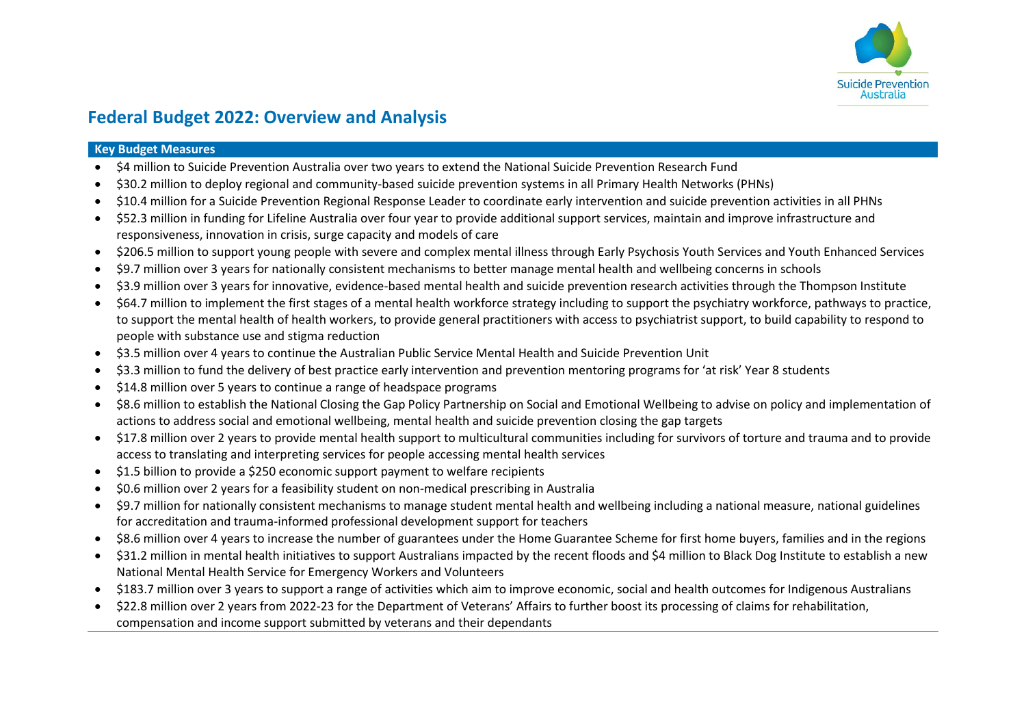

# **Federal Budget 2022: Overview and Analysis**

## **Key Budget Measures**

- \$4 million to Suicide Prevention Australia over two years to extend the National Suicide Prevention Research Fund
- \$30.2 million to deploy regional and community-based suicide prevention systems in all Primary Health Networks (PHNs)
- \$10.4 million for a Suicide Prevention Regional Response Leader to coordinate early intervention and suicide prevention activities in all PHNs
- \$52.3 million in funding for Lifeline Australia over four year to provide additional support services, maintain and improve infrastructure and responsiveness, innovation in crisis, surge capacity and models of care
- \$206.5 million to support young people with severe and complex mental illness through Early Psychosis Youth Services and Youth Enhanced Services
- \$9.7 million over 3 years for nationally consistent mechanisms to better manage mental health and wellbeing concerns in schools
- \$3.9 million over 3 years for innovative, evidence-based mental health and suicide prevention research activities through the Thompson Institute
- \$64.7 million to implement the first stages of a mental health workforce strategy including to support the psychiatry workforce, pathways to practice, to support the mental health of health workers, to provide general practitioners with access to psychiatrist support, to build capability to respond to people with substance use and stigma reduction
- \$3.5 million over 4 years to continue the Australian Public Service Mental Health and Suicide Prevention Unit
- \$3.3 million to fund the delivery of best practice early intervention and prevention mentoring programs for 'at risk' Year 8 students
- \$14.8 million over 5 years to continue a range of headspace programs
- \$8.6 million to establish the National Closing the Gap Policy Partnership on Social and Emotional Wellbeing to advise on policy and implementation of actions to address social and emotional wellbeing, mental health and suicide prevention closing the gap targets
- \$17.8 million over 2 years to provide mental health support to multicultural communities including for survivors of torture and trauma and to provide access to translating and interpreting services for people accessing mental health services
- \$1.5 billion to provide a \$250 economic support payment to welfare recipients
- \$0.6 million over 2 years for a feasibility student on non-medical prescribing in Australia
- \$9.7 million for nationally consistent mechanisms to manage student mental health and wellbeing including a national measure, national guidelines for accreditation and trauma-informed professional development support for teachers
- \$8.6 million over 4 years to increase the number of guarantees under the Home Guarantee Scheme for first home buyers, families and in the regions
- \$31.2 million in mental health initiatives to support Australians impacted by the recent floods and \$4 million to Black Dog Institute to establish a new National Mental Health Service for Emergency Workers and Volunteers
- \$183.7 million over 3 years to support a range of activities which aim to improve economic, social and health outcomes for Indigenous Australians
- \$22.8 million over 2 years from 2022-23 for the Department of Veterans' Affairs to further boost its processing of claims for rehabilitation, compensation and income support submitted by veterans and their dependants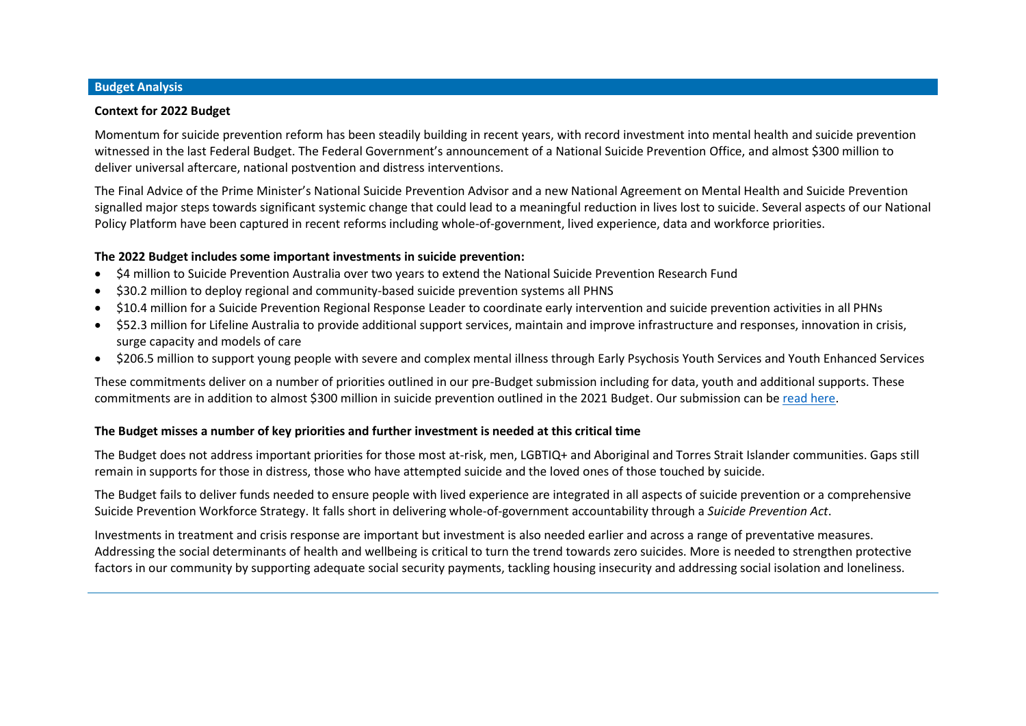### **Budget Analysis**

#### **Context for 2022 Budget**

Momentum for suicide prevention reform has been steadily building in recent years, with record investment into mental health and suicide prevention witnessed in the last Federal Budget. The Federal Government's announcement of a National Suicide Prevention Office, and almost \$300 million to deliver universal aftercare, national postvention and distress interventions.

The Final Advice of the Prime Minister's National Suicide Prevention Advisor and a new National Agreement on Mental Health and Suicide Prevention signalled major steps towards significant systemic change that could lead to a meaningful reduction in lives lost to suicide. Several aspects of our National Policy Platform have been captured in recent reforms including whole-of-government, lived experience, data and workforce priorities.

#### **The 2022 Budget includes some important investments in suicide prevention:**

- \$4 million to Suicide Prevention Australia over two years to extend the National Suicide Prevention Research Fund
- \$30.2 million to deploy regional and community-based suicide prevention systems all PHNS
- \$10.4 million for a Suicide Prevention Regional Response Leader to coordinate early intervention and suicide prevention activities in all PHNs
- \$52.3 million for Lifeline Australia to provide additional support services, maintain and improve infrastructure and responses, innovation in crisis, surge capacity and models of care
- \$206.5 million to support young people with severe and complex mental illness through Early Psychosis Youth Services and Youth Enhanced Services

These commitments deliver on a number of priorities outlined in our pre-Budget submission including for data, youth and additional supports. These commitments are in addition to almost \$300 million in suicide prevention outlined in the 2021 Budget. Our submission can be [read here.](https://www.suicidepreventionaust.org/wp-content/uploads/2022/01/Suicide-Prevention-Australia-Pre-Budget-Submission-Jan-2022-Final.pdf)

#### **The Budget misses a number of key priorities and further investment is needed at this critical time**

The Budget does not address important priorities for those most at-risk, men, LGBTIQ+ and Aboriginal and Torres Strait Islander communities. Gaps still remain in supports for those in distress, those who have attempted suicide and the loved ones of those touched by suicide.

The Budget fails to deliver funds needed to ensure people with lived experience are integrated in all aspects of suicide prevention or a comprehensive Suicide Prevention Workforce Strategy. It falls short in delivering whole-of-government accountability through a *Suicide Prevention Act*.

Investments in treatment and crisis response are important but investment is also needed earlier and across a range of preventative measures. Addressing the social determinants of health and wellbeing is critical to turn the trend towards zero suicides. More is needed to strengthen protective factors in our community by supporting adequate social security payments, tackling housing insecurity and addressing social isolation and loneliness.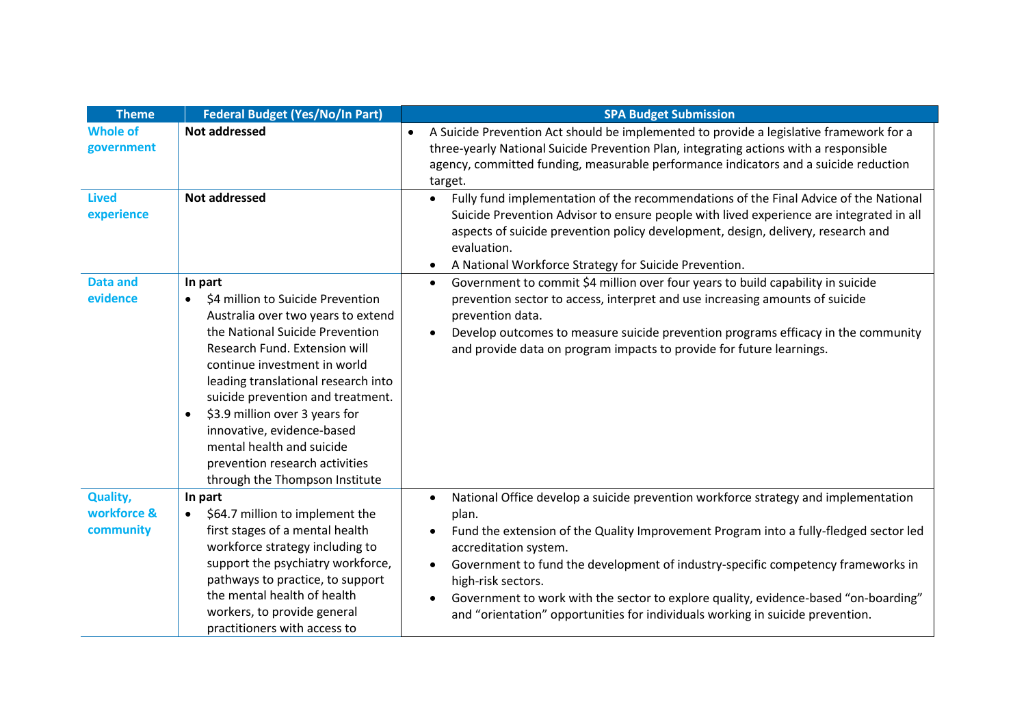| <b>Theme</b>                                | <b>Federal Budget (Yes/No/In Part)</b>                                                                                                                                                                                                                                                                                                                                                                                                                        | <b>SPA Budget Submission</b>                                                                                                                                                                                                                                                                                                                                                                                                                                                                                                            |
|---------------------------------------------|---------------------------------------------------------------------------------------------------------------------------------------------------------------------------------------------------------------------------------------------------------------------------------------------------------------------------------------------------------------------------------------------------------------------------------------------------------------|-----------------------------------------------------------------------------------------------------------------------------------------------------------------------------------------------------------------------------------------------------------------------------------------------------------------------------------------------------------------------------------------------------------------------------------------------------------------------------------------------------------------------------------------|
| <b>Whole of</b><br>government               | <b>Not addressed</b>                                                                                                                                                                                                                                                                                                                                                                                                                                          | A Suicide Prevention Act should be implemented to provide a legislative framework for a<br>$\bullet$<br>three-yearly National Suicide Prevention Plan, integrating actions with a responsible<br>agency, committed funding, measurable performance indicators and a suicide reduction<br>target.                                                                                                                                                                                                                                        |
| <b>Lived</b><br>experience                  | <b>Not addressed</b>                                                                                                                                                                                                                                                                                                                                                                                                                                          | Fully fund implementation of the recommendations of the Final Advice of the National<br>Suicide Prevention Advisor to ensure people with lived experience are integrated in all<br>aspects of suicide prevention policy development, design, delivery, research and<br>evaluation.<br>A National Workforce Strategy for Suicide Prevention.<br>$\bullet$                                                                                                                                                                                |
| <b>Data and</b><br>evidence                 | In part<br>\$4 million to Suicide Prevention<br>$\bullet$<br>Australia over two years to extend<br>the National Suicide Prevention<br>Research Fund. Extension will<br>continue investment in world<br>leading translational research into<br>suicide prevention and treatment.<br>\$3.9 million over 3 years for<br>$\bullet$<br>innovative, evidence-based<br>mental health and suicide<br>prevention research activities<br>through the Thompson Institute | Government to commit \$4 million over four years to build capability in suicide<br>$\bullet$<br>prevention sector to access, interpret and use increasing amounts of suicide<br>prevention data.<br>Develop outcomes to measure suicide prevention programs efficacy in the community<br>$\bullet$<br>and provide data on program impacts to provide for future learnings.                                                                                                                                                              |
| <b>Quality,</b><br>workforce &<br>community | In part<br>\$64.7 million to implement the<br>$\bullet$<br>first stages of a mental health<br>workforce strategy including to<br>support the psychiatry workforce,<br>pathways to practice, to support<br>the mental health of health<br>workers, to provide general<br>practitioners with access to                                                                                                                                                          | National Office develop a suicide prevention workforce strategy and implementation<br>$\bullet$<br>plan.<br>Fund the extension of the Quality Improvement Program into a fully-fledged sector led<br>accreditation system.<br>Government to fund the development of industry-specific competency frameworks in<br>$\bullet$<br>high-risk sectors.<br>Government to work with the sector to explore quality, evidence-based "on-boarding"<br>$\bullet$<br>and "orientation" opportunities for individuals working in suicide prevention. |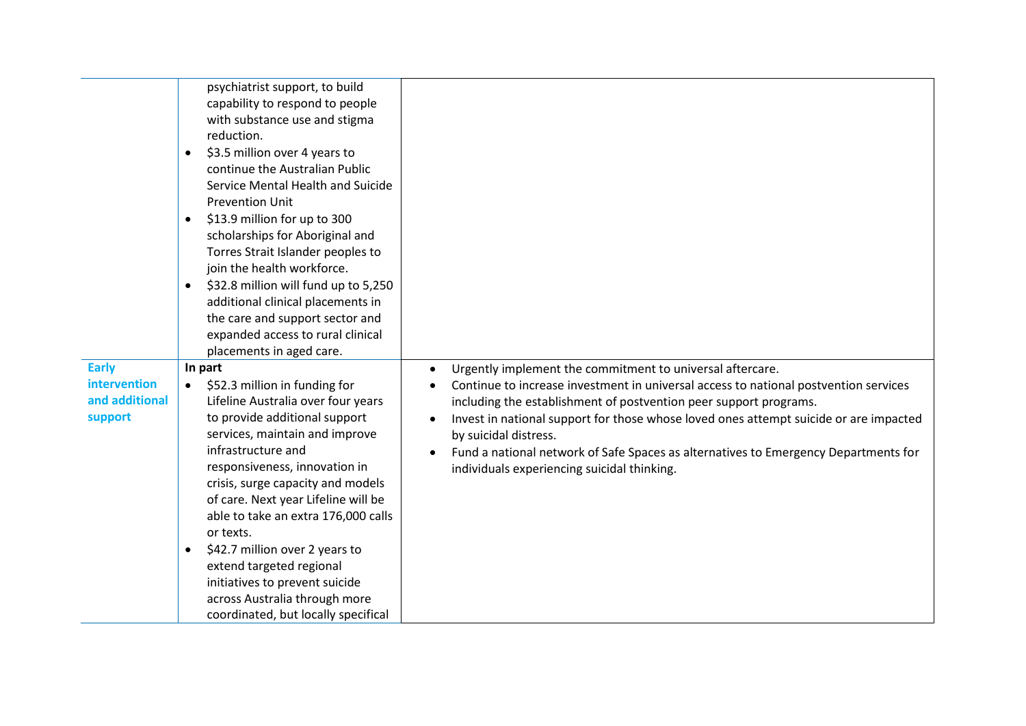| <b>Early</b><br>intervention<br>and additional | psychiatrist support, to build<br>capability to respond to people<br>with substance use and stigma<br>reduction.<br>\$3.5 million over 4 years to<br>$\bullet$<br>continue the Australian Public<br>Service Mental Health and Suicide<br><b>Prevention Unit</b><br>\$13.9 million for up to 300<br>$\bullet$<br>scholarships for Aboriginal and<br>Torres Strait Islander peoples to<br>join the health workforce.<br>\$32.8 million will fund up to 5,250<br>$\bullet$<br>additional clinical placements in<br>the care and support sector and<br>expanded access to rural clinical<br>placements in aged care.<br>In part<br>\$52.3 million in funding for<br>$\bullet$<br>Lifeline Australia over four years | Urgently implement the commitment to universal aftercare.<br>Continue to increase investment in universal access to national postvention services<br>including the establishment of postvention peer support programs.                               |
|------------------------------------------------|-----------------------------------------------------------------------------------------------------------------------------------------------------------------------------------------------------------------------------------------------------------------------------------------------------------------------------------------------------------------------------------------------------------------------------------------------------------------------------------------------------------------------------------------------------------------------------------------------------------------------------------------------------------------------------------------------------------------|------------------------------------------------------------------------------------------------------------------------------------------------------------------------------------------------------------------------------------------------------|
| support                                        | to provide additional support<br>services, maintain and improve<br>infrastructure and<br>responsiveness, innovation in<br>crisis, surge capacity and models<br>of care. Next year Lifeline will be<br>able to take an extra 176,000 calls<br>or texts.<br>\$42.7 million over 2 years to<br>$\bullet$<br>extend targeted regional<br>initiatives to prevent suicide<br>across Australia through more<br>coordinated, but locally specifical                                                                                                                                                                                                                                                                     | Invest in national support for those whose loved ones attempt suicide or are impacted<br>by suicidal distress.<br>Fund a national network of Safe Spaces as alternatives to Emergency Departments for<br>individuals experiencing suicidal thinking. |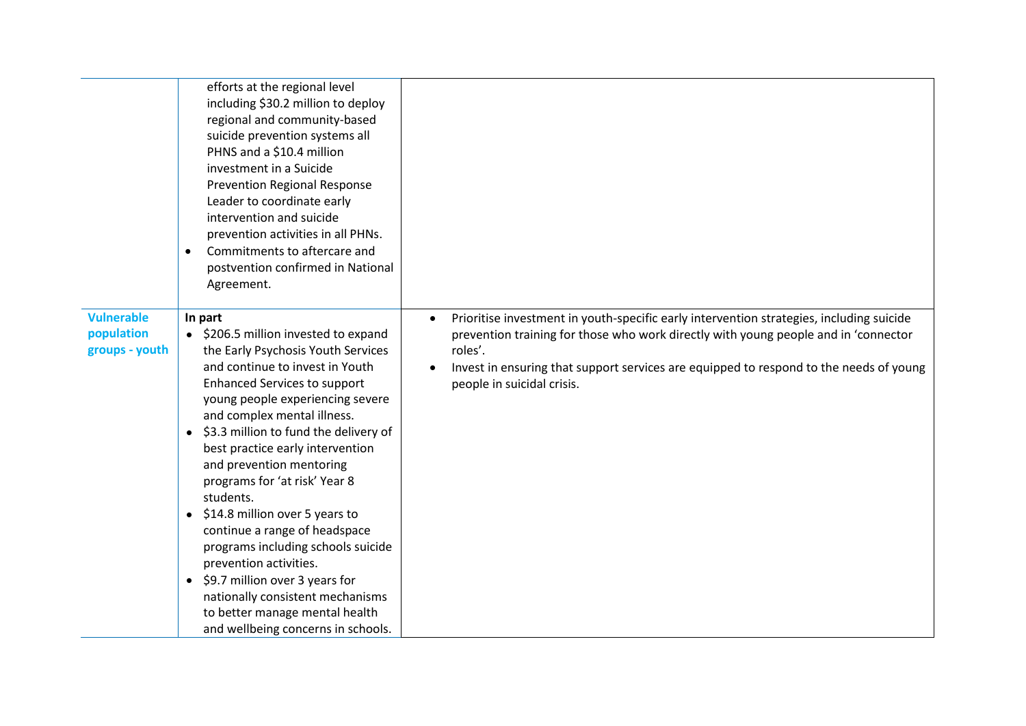|                                                   | efforts at the regional level<br>including \$30.2 million to deploy<br>regional and community-based<br>suicide prevention systems all<br>PHNS and a \$10.4 million<br>investment in a Suicide<br><b>Prevention Regional Response</b><br>Leader to coordinate early<br>intervention and suicide<br>prevention activities in all PHNs.<br>Commitments to aftercare and<br>$\bullet$<br>postvention confirmed in National<br>Agreement.                                                                                                                                                                                                                                                               |                                                                                                                                                                                                                                                                                                                    |
|---------------------------------------------------|----------------------------------------------------------------------------------------------------------------------------------------------------------------------------------------------------------------------------------------------------------------------------------------------------------------------------------------------------------------------------------------------------------------------------------------------------------------------------------------------------------------------------------------------------------------------------------------------------------------------------------------------------------------------------------------------------|--------------------------------------------------------------------------------------------------------------------------------------------------------------------------------------------------------------------------------------------------------------------------------------------------------------------|
| <b>Vulnerable</b><br>population<br>groups - youth | In part<br>\$206.5 million invested to expand<br>the Early Psychosis Youth Services<br>and continue to invest in Youth<br><b>Enhanced Services to support</b><br>young people experiencing severe<br>and complex mental illness.<br>\$3.3 million to fund the delivery of<br>$\bullet$<br>best practice early intervention<br>and prevention mentoring<br>programs for 'at risk' Year 8<br>students.<br>\$14.8 million over 5 years to<br>continue a range of headspace<br>programs including schools suicide<br>prevention activities.<br>\$9.7 million over 3 years for<br>$\bullet$<br>nationally consistent mechanisms<br>to better manage mental health<br>and wellbeing concerns in schools. | Prioritise investment in youth-specific early intervention strategies, including suicide<br>prevention training for those who work directly with young people and in 'connector<br>roles'.<br>Invest in ensuring that support services are equipped to respond to the needs of young<br>people in suicidal crisis. |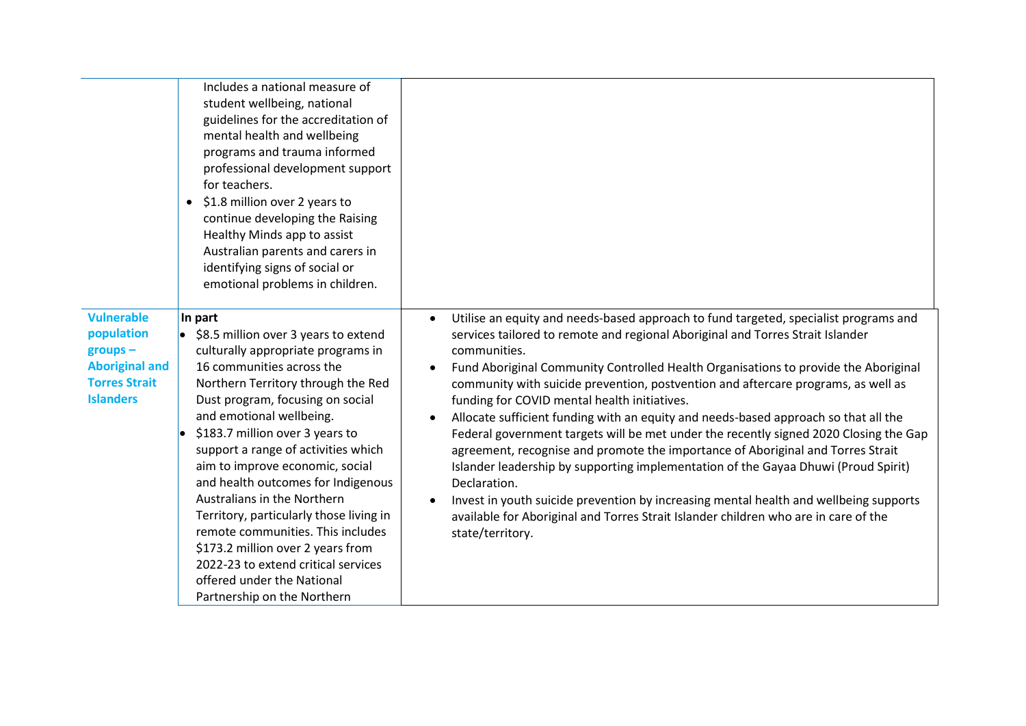|                                                                                                                    | Includes a national measure of<br>student wellbeing, national<br>guidelines for the accreditation of<br>mental health and wellbeing<br>programs and trauma informed<br>professional development support<br>for teachers.<br>\$1.8 million over 2 years to<br>$\bullet$<br>continue developing the Raising<br>Healthy Minds app to assist<br>Australian parents and carers in<br>identifying signs of social or<br>emotional problems in children.                                                                                                                                                                                             |                                                                                                                                                                                                                                                                                                                                                                                                                                                                                                                                                                                                                                                                                                                                                                                                                                                                                                                                                                                                                                        |
|--------------------------------------------------------------------------------------------------------------------|-----------------------------------------------------------------------------------------------------------------------------------------------------------------------------------------------------------------------------------------------------------------------------------------------------------------------------------------------------------------------------------------------------------------------------------------------------------------------------------------------------------------------------------------------------------------------------------------------------------------------------------------------|----------------------------------------------------------------------------------------------------------------------------------------------------------------------------------------------------------------------------------------------------------------------------------------------------------------------------------------------------------------------------------------------------------------------------------------------------------------------------------------------------------------------------------------------------------------------------------------------------------------------------------------------------------------------------------------------------------------------------------------------------------------------------------------------------------------------------------------------------------------------------------------------------------------------------------------------------------------------------------------------------------------------------------------|
| <b>Vulnerable</b><br>population<br>$groups -$<br><b>Aboriginal and</b><br><b>Torres Strait</b><br><b>Islanders</b> | In part<br>$\bullet$ \$8.5 million over 3 years to extend<br>culturally appropriate programs in<br>16 communities across the<br>Northern Territory through the Red<br>Dust program, focusing on social<br>and emotional wellbeing.<br>\$183.7 million over 3 years to<br>support a range of activities which<br>aim to improve economic, social<br>and health outcomes for Indigenous<br>Australians in the Northern<br>Territory, particularly those living in<br>remote communities. This includes<br>\$173.2 million over 2 years from<br>2022-23 to extend critical services<br>offered under the National<br>Partnership on the Northern | Utilise an equity and needs-based approach to fund targeted, specialist programs and<br>$\bullet$<br>services tailored to remote and regional Aboriginal and Torres Strait Islander<br>communities.<br>Fund Aboriginal Community Controlled Health Organisations to provide the Aboriginal<br>$\bullet$<br>community with suicide prevention, postvention and aftercare programs, as well as<br>funding for COVID mental health initiatives.<br>Allocate sufficient funding with an equity and needs-based approach so that all the<br>Federal government targets will be met under the recently signed 2020 Closing the Gap<br>agreement, recognise and promote the importance of Aboriginal and Torres Strait<br>Islander leadership by supporting implementation of the Gayaa Dhuwi (Proud Spirit)<br>Declaration.<br>Invest in youth suicide prevention by increasing mental health and wellbeing supports<br>$\bullet$<br>available for Aboriginal and Torres Strait Islander children who are in care of the<br>state/territory. |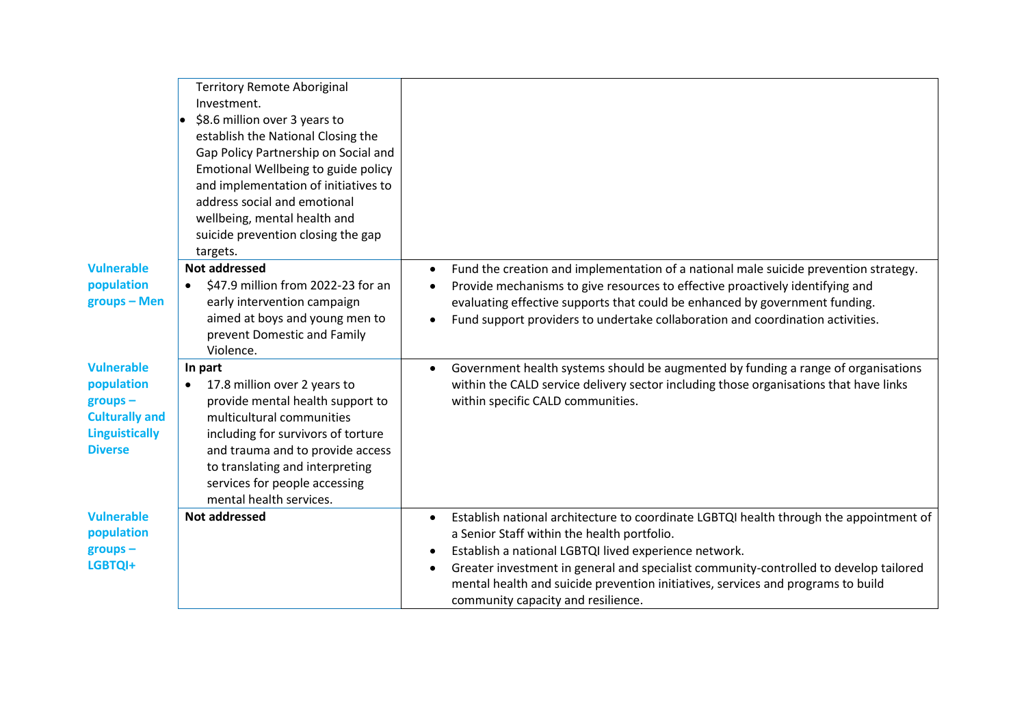|                                                | <b>Territory Remote Aboriginal</b><br>Investment.<br>\$8.6 million over 3 years to<br>establish the National Closing the<br>Gap Policy Partnership on Social and<br>Emotional Wellbeing to guide policy<br>and implementation of initiatives to<br>address social and emotional<br>wellbeing, mental health and<br>suicide prevention closing the gap<br>targets. |                                                                                                                                                                           |
|------------------------------------------------|-------------------------------------------------------------------------------------------------------------------------------------------------------------------------------------------------------------------------------------------------------------------------------------------------------------------------------------------------------------------|---------------------------------------------------------------------------------------------------------------------------------------------------------------------------|
| <b>Vulnerable</b><br>population                | <b>Not addressed</b>                                                                                                                                                                                                                                                                                                                                              | Fund the creation and implementation of a national male suicide prevention strategy.                                                                                      |
| groups – Men                                   | \$47.9 million from 2022-23 for an<br>$\bullet$<br>early intervention campaign                                                                                                                                                                                                                                                                                    | Provide mechanisms to give resources to effective proactively identifying and<br>$\bullet$<br>evaluating effective supports that could be enhanced by government funding. |
|                                                | aimed at boys and young men to                                                                                                                                                                                                                                                                                                                                    | Fund support providers to undertake collaboration and coordination activities.                                                                                            |
|                                                | prevent Domestic and Family                                                                                                                                                                                                                                                                                                                                       |                                                                                                                                                                           |
|                                                | Violence.                                                                                                                                                                                                                                                                                                                                                         |                                                                                                                                                                           |
| <b>Vulnerable</b>                              | In part                                                                                                                                                                                                                                                                                                                                                           | Government health systems should be augmented by funding a range of organisations                                                                                         |
| population                                     | 17.8 million over 2 years to<br>$\bullet$                                                                                                                                                                                                                                                                                                                         | within the CALD service delivery sector including those organisations that have links                                                                                     |
| $groups -$                                     | provide mental health support to<br>multicultural communities                                                                                                                                                                                                                                                                                                     | within specific CALD communities.                                                                                                                                         |
| <b>Culturally and</b><br><b>Linguistically</b> | including for survivors of torture                                                                                                                                                                                                                                                                                                                                |                                                                                                                                                                           |
| <b>Diverse</b>                                 | and trauma and to provide access                                                                                                                                                                                                                                                                                                                                  |                                                                                                                                                                           |
|                                                | to translating and interpreting                                                                                                                                                                                                                                                                                                                                   |                                                                                                                                                                           |
|                                                | services for people accessing                                                                                                                                                                                                                                                                                                                                     |                                                                                                                                                                           |
|                                                | mental health services.                                                                                                                                                                                                                                                                                                                                           |                                                                                                                                                                           |
| <b>Vulnerable</b>                              | <b>Not addressed</b>                                                                                                                                                                                                                                                                                                                                              | Establish national architecture to coordinate LGBTQI health through the appointment of                                                                                    |
| population                                     |                                                                                                                                                                                                                                                                                                                                                                   | a Senior Staff within the health portfolio.                                                                                                                               |
| $groups -$<br>LGBTQI+                          |                                                                                                                                                                                                                                                                                                                                                                   | Establish a national LGBTQI lived experience network.                                                                                                                     |
|                                                |                                                                                                                                                                                                                                                                                                                                                                   | Greater investment in general and specialist community-controlled to develop tailored<br>mental health and suicide prevention initiatives, services and programs to build |
|                                                |                                                                                                                                                                                                                                                                                                                                                                   | community capacity and resilience.                                                                                                                                        |
|                                                |                                                                                                                                                                                                                                                                                                                                                                   |                                                                                                                                                                           |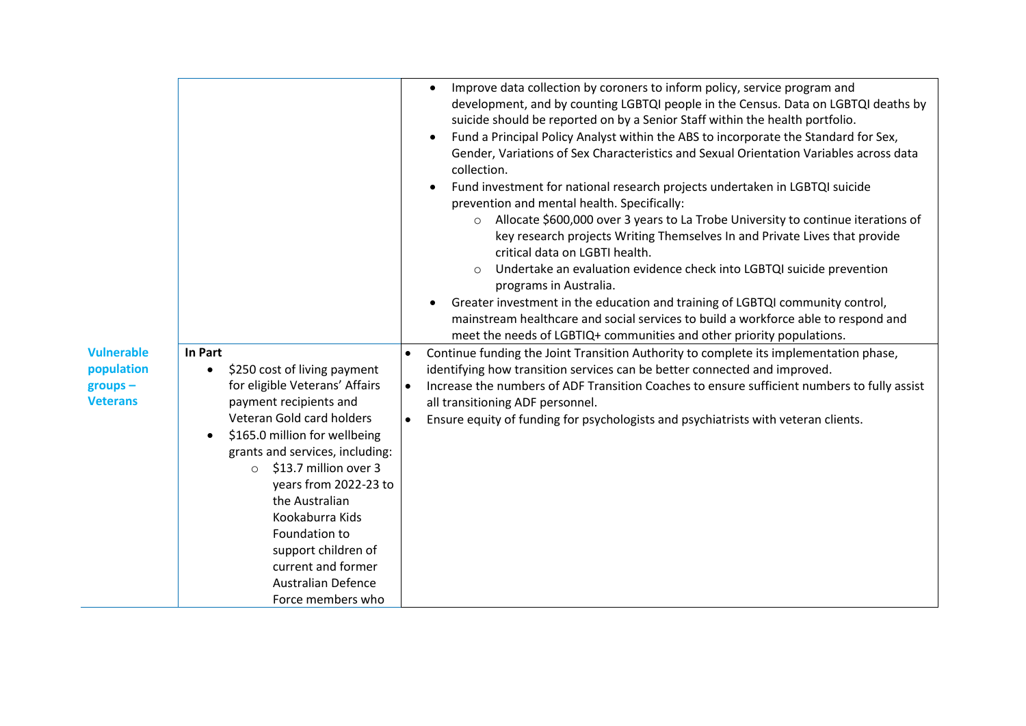|                                                                                                                                                                                                                                                                                                                                                                                                                             | Improve data collection by coroners to inform policy, service program and<br>$\bullet$<br>development, and by counting LGBTQI people in the Census. Data on LGBTQI deaths by<br>suicide should be reported on by a Senior Staff within the health portfolio.<br>Fund a Principal Policy Analyst within the ABS to incorporate the Standard for Sex,<br>$\bullet$<br>Gender, Variations of Sex Characteristics and Sexual Orientation Variables across data<br>collection.<br>Fund investment for national research projects undertaken in LGBTQI suicide<br>$\bullet$<br>prevention and mental health. Specifically:<br>Allocate \$600,000 over 3 years to La Trobe University to continue iterations of<br>$\circ$<br>key research projects Writing Themselves In and Private Lives that provide<br>critical data on LGBTI health.<br>Undertake an evaluation evidence check into LGBTQI suicide prevention<br>$\circ$<br>programs in Australia.<br>Greater investment in the education and training of LGBTQI community control,<br>mainstream healthcare and social services to build a workforce able to respond and<br>meet the needs of LGBTIQ+ communities and other priority populations. |
|-----------------------------------------------------------------------------------------------------------------------------------------------------------------------------------------------------------------------------------------------------------------------------------------------------------------------------------------------------------------------------------------------------------------------------|---------------------------------------------------------------------------------------------------------------------------------------------------------------------------------------------------------------------------------------------------------------------------------------------------------------------------------------------------------------------------------------------------------------------------------------------------------------------------------------------------------------------------------------------------------------------------------------------------------------------------------------------------------------------------------------------------------------------------------------------------------------------------------------------------------------------------------------------------------------------------------------------------------------------------------------------------------------------------------------------------------------------------------------------------------------------------------------------------------------------------------------------------------------------------------------------------|
| In Part<br>\$250 cost of living payment<br>$\bullet$<br>for eligible Veterans' Affairs<br>payment recipients and<br>Veteran Gold card holders<br>\$165.0 million for wellbeing<br>$\bullet$<br>grants and services, including:<br>\$13.7 million over 3<br>$\circ$<br>years from 2022-23 to<br>the Australian<br>Kookaburra Kids<br>Foundation to<br>support children of<br>current and former<br><b>Australian Defence</b> | Continue funding the Joint Transition Authority to complete its implementation phase,<br>$\bullet$<br>identifying how transition services can be better connected and improved.<br>Increase the numbers of ADF Transition Coaches to ensure sufficient numbers to fully assist<br>$\bullet$<br>all transitioning ADF personnel.<br>Ensure equity of funding for psychologists and psychiatrists with veteran clients.<br>$\bullet$                                                                                                                                                                                                                                                                                                                                                                                                                                                                                                                                                                                                                                                                                                                                                                |
|                                                                                                                                                                                                                                                                                                                                                                                                                             | Force members who                                                                                                                                                                                                                                                                                                                                                                                                                                                                                                                                                                                                                                                                                                                                                                                                                                                                                                                                                                                                                                                                                                                                                                                 |

 $\overline{\phantom{a}}$ ÷,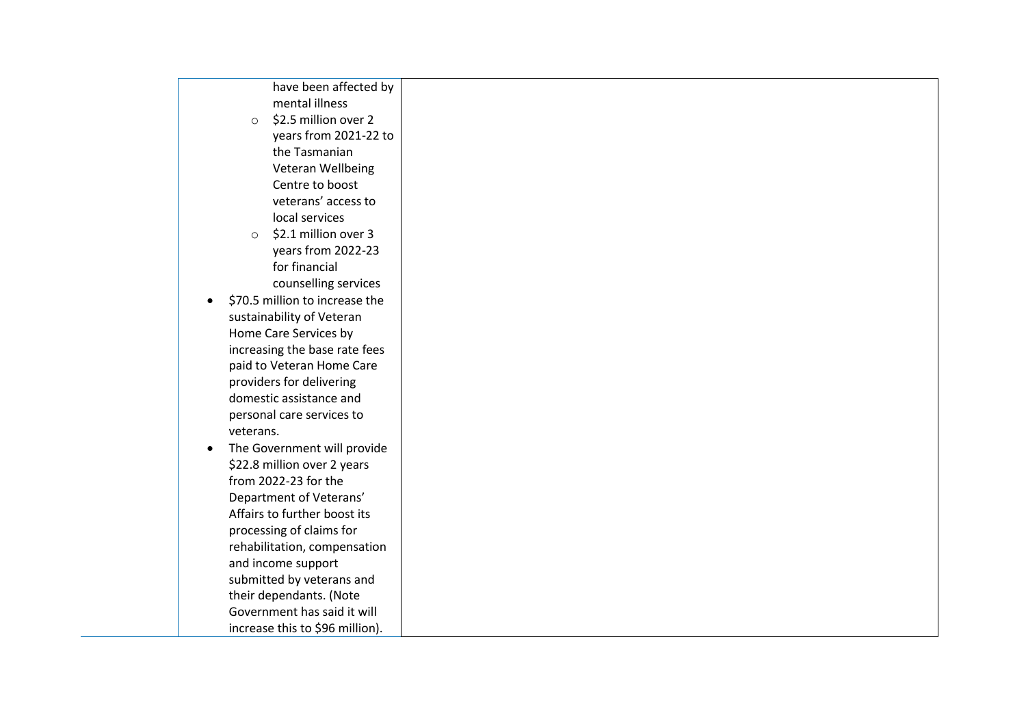| have been affected by                    |  |
|------------------------------------------|--|
| mental illness                           |  |
| \$2.5 million over 2<br>$\circ$          |  |
| years from 2021-22 to                    |  |
| the Tasmanian                            |  |
| Veteran Wellbeing                        |  |
| Centre to boost                          |  |
| veterans' access to                      |  |
| local services                           |  |
| \$2.1 million over 3<br>$\circ$          |  |
| years from 2022-23                       |  |
| for financial                            |  |
| counselling services                     |  |
| \$70.5 million to increase the           |  |
| sustainability of Veteran                |  |
| Home Care Services by                    |  |
| increasing the base rate fees            |  |
| paid to Veteran Home Care                |  |
| providers for delivering                 |  |
| domestic assistance and                  |  |
| personal care services to                |  |
| veterans.                                |  |
| The Government will provide<br>$\bullet$ |  |
| \$22.8 million over 2 years              |  |
| from 2022-23 for the                     |  |
| Department of Veterans'                  |  |
| Affairs to further boost its             |  |
| processing of claims for                 |  |
| rehabilitation, compensation             |  |
| and income support                       |  |
| submitted by veterans and                |  |
| their dependants. (Note                  |  |
| Government has said it will              |  |
| increase this to \$96 million).          |  |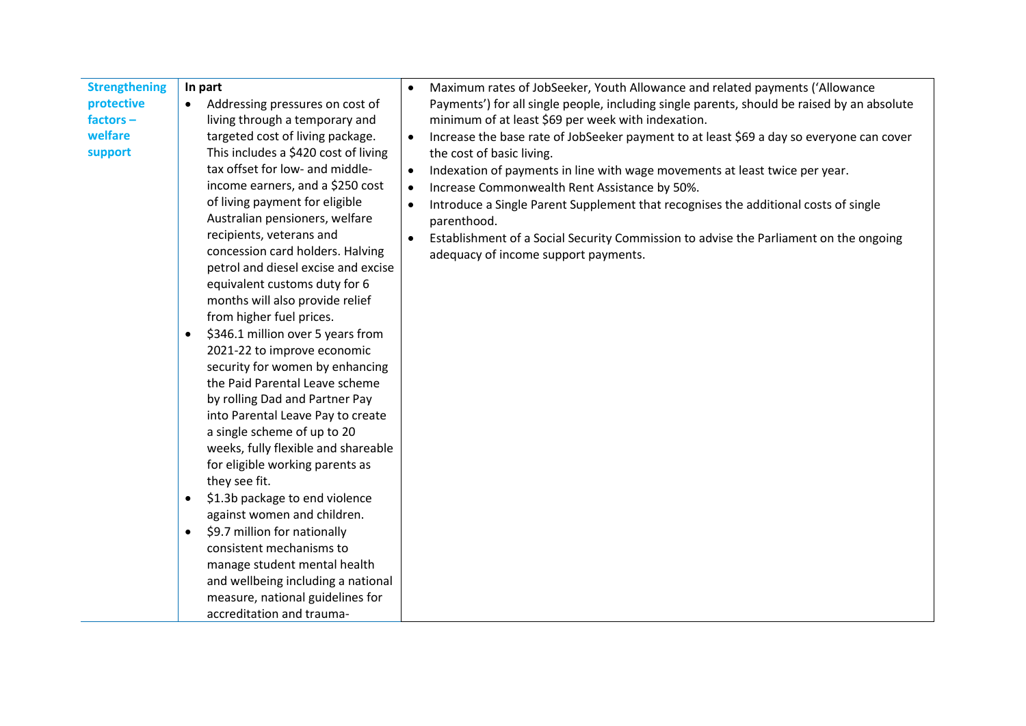| <b>Strengthening</b> | In part                                                                    | Maximum rates of JobSeeker, Youth Allowance and related payments ('Allowance<br>$\bullet$             |
|----------------------|----------------------------------------------------------------------------|-------------------------------------------------------------------------------------------------------|
| protective           | Addressing pressures on cost of                                            | Payments') for all single people, including single parents, should be raised by an absolute           |
| factors-             | living through a temporary and                                             | minimum of at least \$69 per week with indexation.                                                    |
| welfare              | targeted cost of living package.                                           | Increase the base rate of JobSeeker payment to at least \$69 a day so everyone can cover<br>$\bullet$ |
| support              | This includes a \$420 cost of living                                       | the cost of basic living.                                                                             |
|                      | tax offset for low- and middle-                                            | Indexation of payments in line with wage movements at least twice per year.<br>$\bullet$              |
|                      | income earners, and a \$250 cost                                           | Increase Commonwealth Rent Assistance by 50%.<br>$\bullet$                                            |
|                      | of living payment for eligible                                             | Introduce a Single Parent Supplement that recognises the additional costs of single<br>$\bullet$      |
|                      | Australian pensioners, welfare                                             | parenthood.                                                                                           |
|                      | recipients, veterans and                                                   | Establishment of a Social Security Commission to advise the Parliament on the ongoing<br>$\bullet$    |
|                      | concession card holders. Halving                                           | adequacy of income support payments.                                                                  |
|                      | petrol and diesel excise and excise                                        |                                                                                                       |
|                      | equivalent customs duty for 6                                              |                                                                                                       |
|                      | months will also provide relief                                            |                                                                                                       |
|                      | from higher fuel prices.                                                   |                                                                                                       |
|                      | \$346.1 million over 5 years from                                          |                                                                                                       |
|                      | 2021-22 to improve economic                                                |                                                                                                       |
|                      | security for women by enhancing                                            |                                                                                                       |
|                      | the Paid Parental Leave scheme                                             |                                                                                                       |
|                      | by rolling Dad and Partner Pay                                             |                                                                                                       |
|                      | into Parental Leave Pay to create                                          |                                                                                                       |
|                      | a single scheme of up to 20                                                |                                                                                                       |
|                      | weeks, fully flexible and shareable                                        |                                                                                                       |
|                      | for eligible working parents as<br>they see fit.                           |                                                                                                       |
|                      |                                                                            |                                                                                                       |
|                      | \$1.3b package to end violence<br>$\bullet$<br>against women and children. |                                                                                                       |
|                      | \$9.7 million for nationally<br>$\bullet$                                  |                                                                                                       |
|                      | consistent mechanisms to                                                   |                                                                                                       |
|                      | manage student mental health                                               |                                                                                                       |
|                      | and wellbeing including a national                                         |                                                                                                       |
|                      | measure, national guidelines for                                           |                                                                                                       |
|                      | accreditation and trauma-                                                  |                                                                                                       |
|                      |                                                                            |                                                                                                       |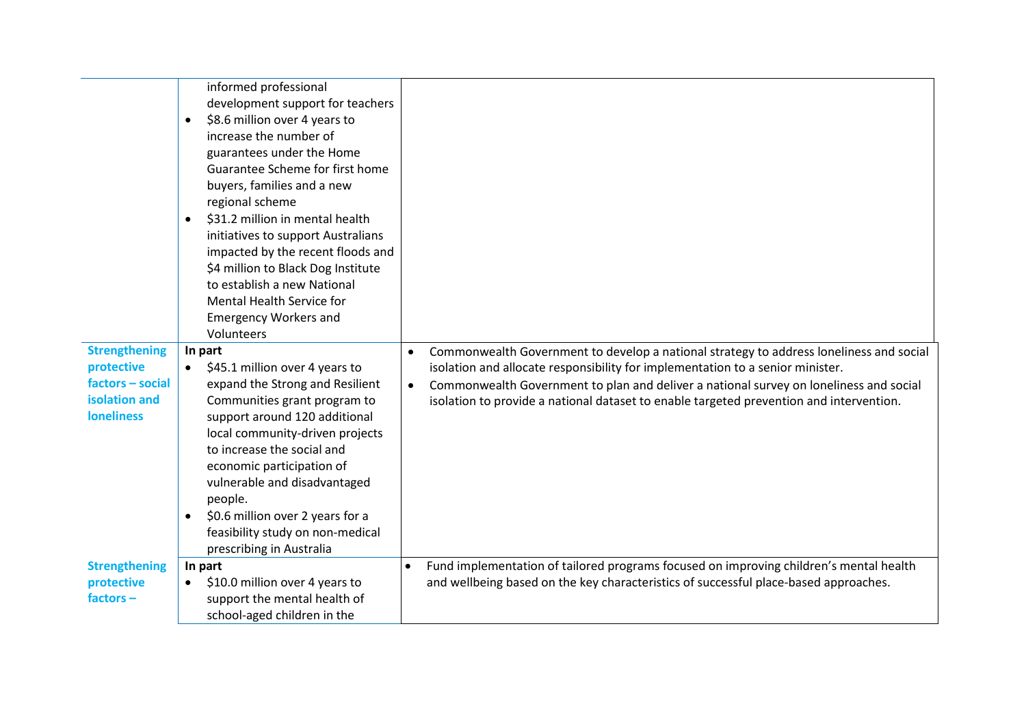| <b>Strengthening</b><br>protective<br>factors - social<br>isolation and<br><b>loneliness</b> | informed professional<br>development support for teachers<br>\$8.6 million over 4 years to<br>$\bullet$<br>increase the number of<br>guarantees under the Home<br>Guarantee Scheme for first home<br>buyers, families and a new<br>regional scheme<br>\$31.2 million in mental health<br>$\bullet$<br>initiatives to support Australians<br>impacted by the recent floods and<br>\$4 million to Black Dog Institute<br>to establish a new National<br>Mental Health Service for<br><b>Emergency Workers and</b><br>Volunteers<br>In part<br>\$45.1 million over 4 years to<br>expand the Strong and Resilient<br>Communities grant program to<br>support around 120 additional<br>local community-driven projects<br>to increase the social and<br>economic participation of<br>vulnerable and disadvantaged<br>people.<br>\$0.6 million over 2 years for a | Commonwealth Government to develop a national strategy to address loneliness and social<br>$\bullet$<br>isolation and allocate responsibility for implementation to a senior minister.<br>Commonwealth Government to plan and deliver a national survey on loneliness and social<br>$\bullet$<br>isolation to provide a national dataset to enable targeted prevention and intervention. |
|----------------------------------------------------------------------------------------------|-------------------------------------------------------------------------------------------------------------------------------------------------------------------------------------------------------------------------------------------------------------------------------------------------------------------------------------------------------------------------------------------------------------------------------------------------------------------------------------------------------------------------------------------------------------------------------------------------------------------------------------------------------------------------------------------------------------------------------------------------------------------------------------------------------------------------------------------------------------|------------------------------------------------------------------------------------------------------------------------------------------------------------------------------------------------------------------------------------------------------------------------------------------------------------------------------------------------------------------------------------------|
|                                                                                              | feasibility study on non-medical<br>prescribing in Australia                                                                                                                                                                                                                                                                                                                                                                                                                                                                                                                                                                                                                                                                                                                                                                                                |                                                                                                                                                                                                                                                                                                                                                                                          |
| <b>Strengthening</b><br>protective<br>factors-                                               | In part<br>\$10.0 million over 4 years to<br>support the mental health of<br>school-aged children in the                                                                                                                                                                                                                                                                                                                                                                                                                                                                                                                                                                                                                                                                                                                                                    | Fund implementation of tailored programs focused on improving children's mental health<br>$\bullet$<br>and wellbeing based on the key characteristics of successful place-based approaches.                                                                                                                                                                                              |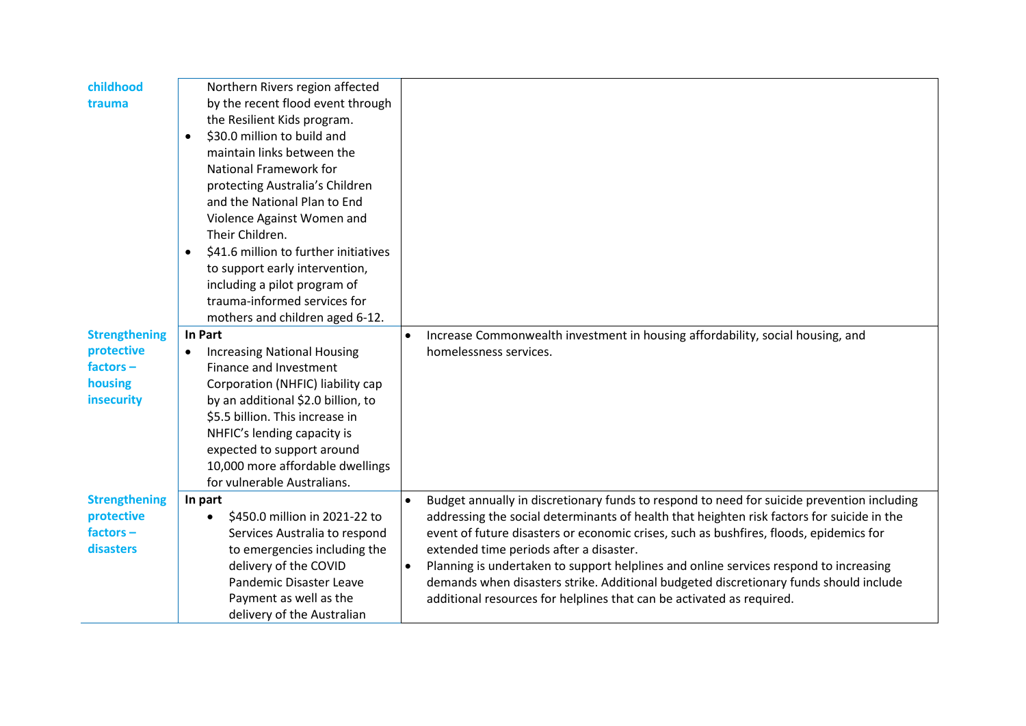| childhood            | Northern Rivers region affected                 |                                                                                                    |
|----------------------|-------------------------------------------------|----------------------------------------------------------------------------------------------------|
| trauma               | by the recent flood event through               |                                                                                                    |
|                      | the Resilient Kids program.                     |                                                                                                    |
|                      | \$30.0 million to build and<br>$\bullet$        |                                                                                                    |
|                      | maintain links between the                      |                                                                                                    |
|                      | National Framework for                          |                                                                                                    |
|                      | protecting Australia's Children                 |                                                                                                    |
|                      | and the National Plan to End                    |                                                                                                    |
|                      | Violence Against Women and                      |                                                                                                    |
|                      | Their Children.                                 |                                                                                                    |
|                      | \$41.6 million to further initiatives           |                                                                                                    |
|                      | to support early intervention,                  |                                                                                                    |
|                      | including a pilot program of                    |                                                                                                    |
|                      | trauma-informed services for                    |                                                                                                    |
|                      | mothers and children aged 6-12.                 |                                                                                                    |
| <b>Strengthening</b> | In Part                                         | Increase Commonwealth investment in housing affordability, social housing, and                     |
| protective           | <b>Increasing National Housing</b><br>$\bullet$ | homelessness services.                                                                             |
| factors $-$          | Finance and Investment                          |                                                                                                    |
| housing              | Corporation (NHFIC) liability cap               |                                                                                                    |
| insecurity           | by an additional \$2.0 billion, to              |                                                                                                    |
|                      | \$5.5 billion. This increase in                 |                                                                                                    |
|                      | NHFIC's lending capacity is                     |                                                                                                    |
|                      | expected to support around                      |                                                                                                    |
|                      | 10,000 more affordable dwellings                |                                                                                                    |
|                      | for vulnerable Australians.                     |                                                                                                    |
| <b>Strengthening</b> | In part                                         | Budget annually in discretionary funds to respond to need for suicide prevention including         |
| protective           | \$450.0 million in 2021-22 to<br>$\bullet$      | addressing the social determinants of health that heighten risk factors for suicide in the         |
| factors-             | Services Australia to respond                   | event of future disasters or economic crises, such as bushfires, floods, epidemics for             |
| disasters            | to emergencies including the                    | extended time periods after a disaster.                                                            |
|                      | delivery of the COVID                           | Planning is undertaken to support helplines and online services respond to increasing<br>$\bullet$ |
|                      | Pandemic Disaster Leave                         | demands when disasters strike. Additional budgeted discretionary funds should include              |
|                      | Payment as well as the                          | additional resources for helplines that can be activated as required.                              |
|                      | delivery of the Australian                      |                                                                                                    |
|                      |                                                 |                                                                                                    |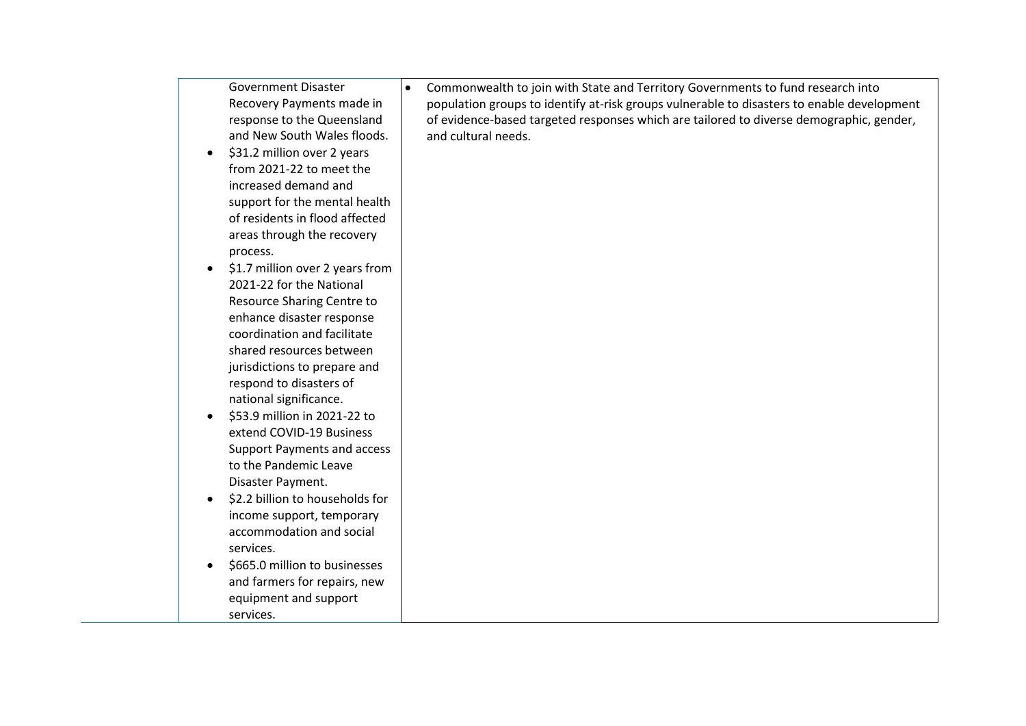| <b>Government Disaster</b>                   | Commonwealth to join with State and Territory Governments to fund research into<br>$\bullet$ |
|----------------------------------------------|----------------------------------------------------------------------------------------------|
| Recovery Payments made in                    | population groups to identify at-risk groups vulnerable to disasters to enable development   |
| response to the Queensland                   | of evidence-based targeted responses which are tailored to diverse demographic, gender,      |
| and New South Wales floods.                  | and cultural needs.                                                                          |
| \$31.2 million over 2 years<br>$\bullet$     |                                                                                              |
| from 2021-22 to meet the                     |                                                                                              |
| increased demand and                         |                                                                                              |
| support for the mental health                |                                                                                              |
| of residents in flood affected               |                                                                                              |
| areas through the recovery                   |                                                                                              |
| process.                                     |                                                                                              |
| \$1.7 million over 2 years from<br>$\bullet$ |                                                                                              |
| 2021-22 for the National                     |                                                                                              |
| Resource Sharing Centre to                   |                                                                                              |
| enhance disaster response                    |                                                                                              |
| coordination and facilitate                  |                                                                                              |
| shared resources between                     |                                                                                              |
| jurisdictions to prepare and                 |                                                                                              |
| respond to disasters of                      |                                                                                              |
| national significance.                       |                                                                                              |
| \$53.9 million in 2021-22 to<br>$\bullet$    |                                                                                              |
| extend COVID-19 Business                     |                                                                                              |
| <b>Support Payments and access</b>           |                                                                                              |
| to the Pandemic Leave                        |                                                                                              |
| Disaster Payment.                            |                                                                                              |
| \$2.2 billion to households for              |                                                                                              |
| income support, temporary                    |                                                                                              |
| accommodation and social                     |                                                                                              |
| services.                                    |                                                                                              |
| \$665.0 million to businesses                |                                                                                              |
| and farmers for repairs, new                 |                                                                                              |
| equipment and support                        |                                                                                              |
| services.                                    |                                                                                              |
|                                              |                                                                                              |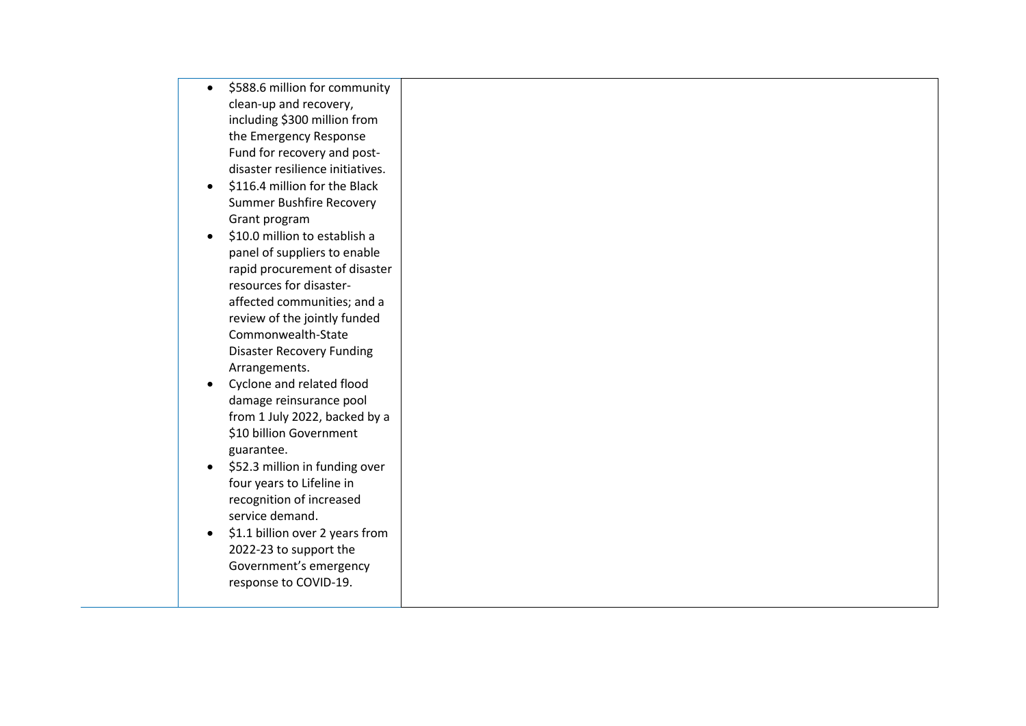| $\bullet$ | \$588.6 million for community    |
|-----------|----------------------------------|
|           | clean-up and recovery,           |
|           | including \$300 million from     |
|           | the Emergency Response           |
|           | Fund for recovery and post-      |
|           | disaster resilience initiatives. |
| $\bullet$ | \$116.4 million for the Black    |
|           | Summer Bushfire Recovery         |
|           | Grant program                    |
| $\bullet$ | \$10.0 million to establish a    |
|           | panel of suppliers to enable     |
|           | rapid procurement of disaster    |
|           | resources for disaster-          |
|           | affected communities; and a      |
|           | review of the jointly funded     |
|           | Commonwealth-State               |
|           | <b>Disaster Recovery Funding</b> |
|           | Arrangements.                    |
|           | Cyclone and related flood        |
|           | damage reinsurance pool          |
|           | from 1 July 2022, backed by a    |
|           | \$10 billion Government          |
|           | guarantee.                       |
|           | \$52.3 million in funding over   |
|           | four years to Lifeline in        |
|           | recognition of increased         |
|           | service demand.                  |
| $\bullet$ | \$1.1 billion over 2 years from  |
|           | 2022-23 to support the           |
|           | Government's emergency           |
|           | response to COVID-19.            |
|           |                                  |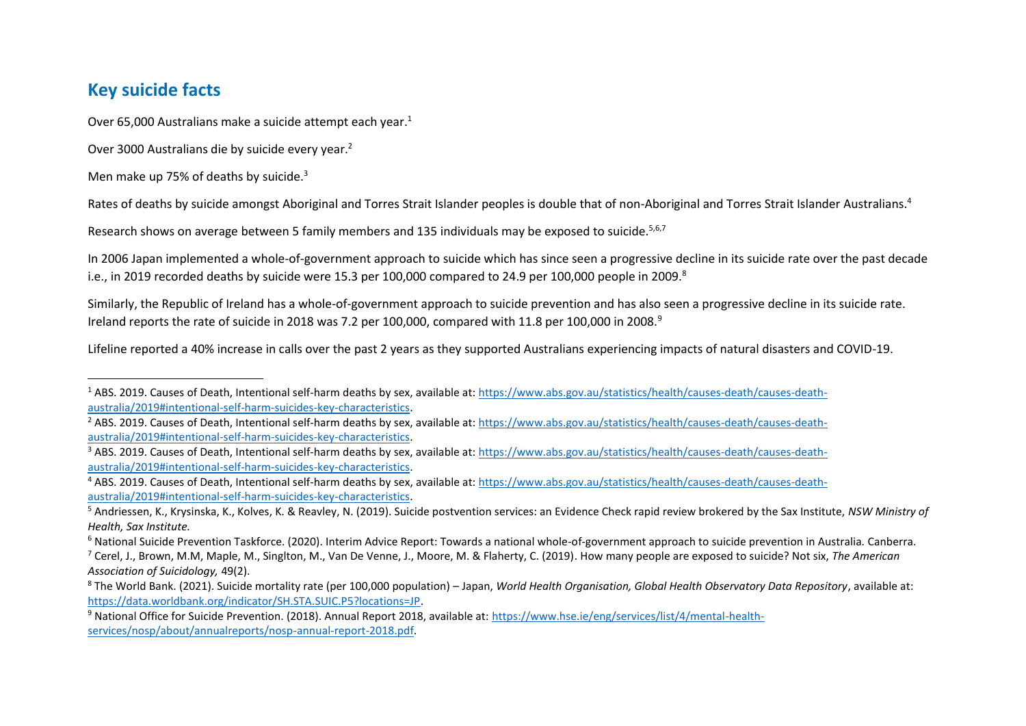# **Key suicide facts**

Over 65,000 Australians make a suicide attempt each year. 1

Over 3000 Australians die by suicide every year.<sup>2</sup>

Men make up 75% of deaths by suicide. $3$ 

Rates of deaths by suicide amongst Aboriginal and Torres Strait Islander peoples is double that of non-Aboriginal and Torres Strait Islander Australians.<sup>4</sup>

Research shows on average between 5 family members and 135 individuals may be exposed to suicide.<sup>5,6,7</sup>

In 2006 Japan implemented a whole-of-government approach to suicide which has since seen a progressive decline in its suicide rate over the past decade i.e., in 2019 recorded deaths by suicide were 15.3 per 100,000 compared to 24.9 per 100,000 people in 2009.<sup>8</sup>

Similarly, the Republic of Ireland has a whole-of-government approach to suicide prevention and has also seen a progressive decline in its suicide rate. Ireland reports the rate of suicide in 2018 was 7.2 per 100,000, compared with 11.8 per 100,000 in 2008.<sup>9</sup>

Lifeline reported a 40% increase in calls over the past 2 years as they supported Australians experiencing impacts of natural disasters and COVID-19.

<sup>1</sup> ABS. 2019. Causes of Death, Intentional self-harm deaths by sex, available at[: https://www.abs.gov.au/statistics/health/causes-death/causes-death](https://www.abs.gov.au/statistics/health/causes-death/causes-death-australia/2019#intentional-self-harm-suicides-key-characteristics)[australia/2019#intentional-self-harm-suicides-key-characteristics.](https://www.abs.gov.au/statistics/health/causes-death/causes-death-australia/2019#intentional-self-harm-suicides-key-characteristics)

<sup>&</sup>lt;sup>2</sup> ABS. 2019. Causes of Death, Intentional self-harm deaths by sex, available at[: https://www.abs.gov.au/statistics/health/causes-death/causes-death](https://www.abs.gov.au/statistics/health/causes-death/causes-death-australia/2019#intentional-self-harm-suicides-key-characteristics)[australia/2019#intentional-self-harm-suicides-key-characteristics.](https://www.abs.gov.au/statistics/health/causes-death/causes-death-australia/2019#intentional-self-harm-suicides-key-characteristics)

<sup>&</sup>lt;sup>3</sup> ABS. 2019. Causes of Death, Intentional self-harm deaths by sex, available at[: https://www.abs.gov.au/statistics/health/causes-death/causes-death](https://www.abs.gov.au/statistics/health/causes-death/causes-death-australia/2019#intentional-self-harm-suicides-key-characteristics)[australia/2019#intentional-self-harm-suicides-key-characteristics.](https://www.abs.gov.au/statistics/health/causes-death/causes-death-australia/2019#intentional-self-harm-suicides-key-characteristics) 

<sup>4</sup> ABS. 2019. Causes of Death, Intentional self-harm deaths by sex, available at[: https://www.abs.gov.au/statistics/health/causes-death/causes-death](https://www.abs.gov.au/statistics/health/causes-death/causes-death-australia/2019#intentional-self-harm-suicides-key-characteristics)[australia/2019#intentional-self-harm-suicides-key-characteristics.](https://www.abs.gov.au/statistics/health/causes-death/causes-death-australia/2019#intentional-self-harm-suicides-key-characteristics)

<sup>5</sup> Andriessen, K., Krysinska, K., Kolves, K. & Reavley, N. (2019). Suicide postvention services: an Evidence Check rapid review brokered by the Sax Institute, *NSW Ministry of Health, Sax Institute.*

<sup>6</sup> National Suicide Prevention Taskforce. (2020). Interim Advice Report: Towards a national whole-of-government approach to suicide prevention in Australia*.* Canberra.

<sup>7</sup> Cerel, J., Brown, M.M, Maple, M., Singlton, M., Van De Venne, J., Moore, M. & Flaherty, C. (2019). How many people are exposed to suicide? Not six, *The American Association of Suicidology,* 49(2).

<sup>8</sup> The World Bank. (2021). Suicide mortality rate (per 100,000 population) – Japan, *World Health Organisation, Global Health Observatory Data Repository*, available at: [https://data.worldbank.org/indicator/SH.STA.SUIC.P5?locations=JP.](https://data.worldbank.org/indicator/SH.STA.SUIC.P5?locations=JP)

<sup>9</sup> National Office for Suicide Prevention. (2018). Annual Report 2018, available at: [https://www.hse.ie/eng/services/list/4/mental-health](https://www.hse.ie/eng/services/list/4/mental-health-services/nosp/about/annualreports/nosp-annual-report-2018.pdf)[services/nosp/about/annualreports/nosp-annual-report-2018.pdf.](https://www.hse.ie/eng/services/list/4/mental-health-services/nosp/about/annualreports/nosp-annual-report-2018.pdf)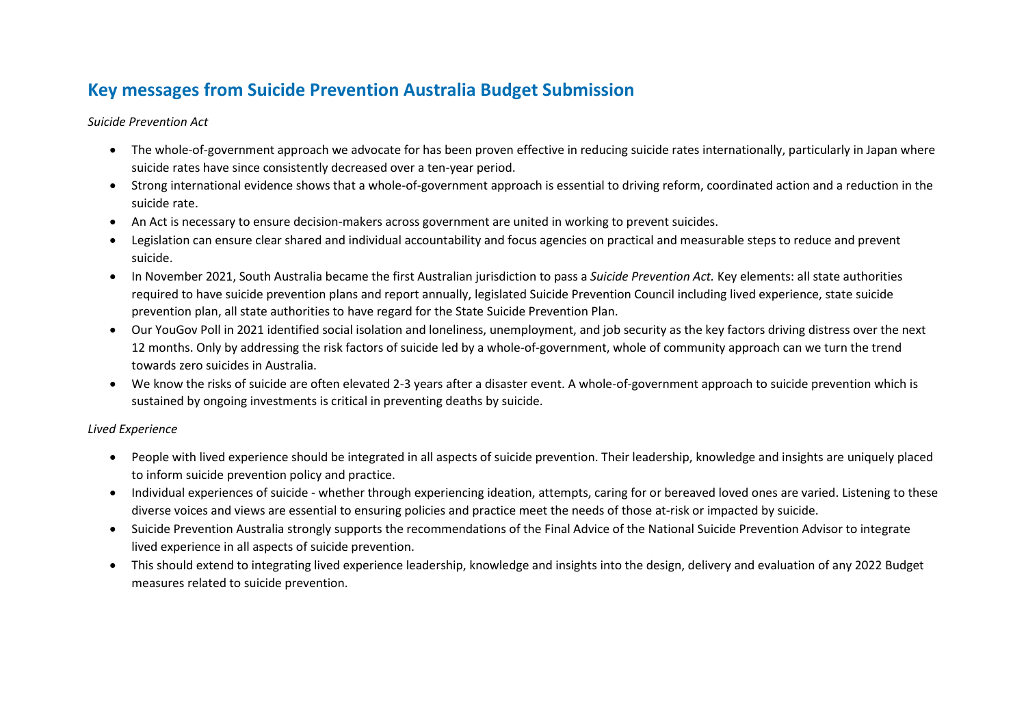# **Key messages from Suicide Prevention Australia Budget Submission**

*Suicide Prevention Act*

- The whole-of-government approach we advocate for has been proven effective in reducing suicide rates internationally, particularly in Japan where suicide rates have since consistently decreased over a ten-year period.
- Strong international evidence shows that a whole-of-government approach is essential to driving reform, coordinated action and a reduction in the suicide rate.
- An Act is necessary to ensure decision-makers across government are united in working to prevent suicides.
- Legislation can ensure clear shared and individual accountability and focus agencies on practical and measurable steps to reduce and prevent suicide.
- In November 2021, South Australia became the first Australian jurisdiction to pass a *Suicide Prevention Act.* Key elements: all state authorities required to have suicide prevention plans and report annually, legislated Suicide Prevention Council including lived experience, state suicide prevention plan, all state authorities to have regard for the State Suicide Prevention Plan.
- Our YouGov Poll in 2021 identified social isolation and loneliness, unemployment, and job security as the key factors driving distress over the next 12 months. Only by addressing the risk factors of suicide led by a whole-of-government, whole of community approach can we turn the trend towards zero suicides in Australia.
- We know the risks of suicide are often elevated 2-3 years after a disaster event. A whole-of-government approach to suicide prevention which is sustained by ongoing investments is critical in preventing deaths by suicide.

## *Lived Experience*

- People with lived experience should be integrated in all aspects of suicide prevention. Their leadership, knowledge and insights are uniquely placed to inform suicide prevention policy and practice.
- Individual experiences of suicide whether through experiencing ideation, attempts, caring for or bereaved loved ones are varied. Listening to these diverse voices and views are essential to ensuring policies and practice meet the needs of those at-risk or impacted by suicide.
- Suicide Prevention Australia strongly supports the recommendations of the Final Advice of the National Suicide Prevention Advisor to integrate lived experience in all aspects of suicide prevention.
- This should extend to integrating lived experience leadership, knowledge and insights into the design, delivery and evaluation of any 2022 Budget measures related to suicide prevention.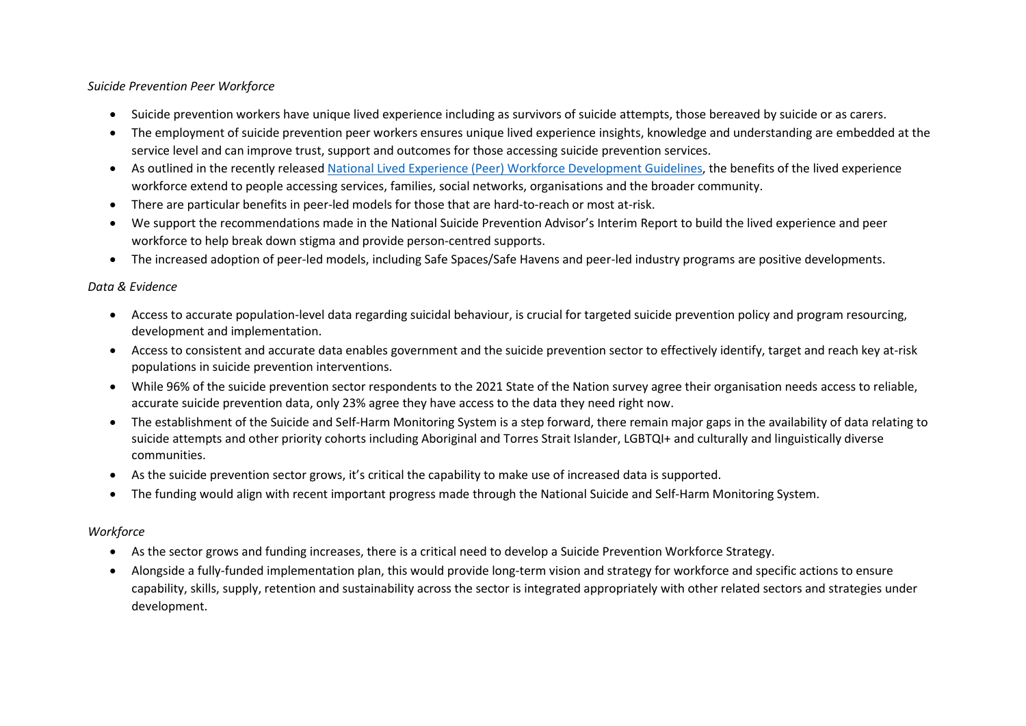## *Suicide Prevention Peer Workforce*

- Suicide prevention workers have unique lived experience including as survivors of suicide attempts, those bereaved by suicide or as carers.
- The employment of suicide prevention peer workers ensures unique lived experience insights, knowledge and understanding are embedded at the service level and can improve trust, support and outcomes for those accessing suicide prevention services.
- As outlined in the recently release[d National Lived Experience \(Peer\) Workforce Development Guidelines,](https://www.mentalhealthcommission.gov.au/Mental-health-Reform/Mental-Health-Peer-Work-Development-and-Promotion/Peer-Workforce-Development-Guidelines) the benefits of the lived experience workforce extend to people accessing services, families, social networks, organisations and the broader community.
- There are particular benefits in peer-led models for those that are hard-to-reach or most at-risk.
- We support the recommendations made in the National Suicide Prevention Advisor's Interim Report to build the lived experience and peer workforce to help break down stigma and provide person-centred supports.
- The increased adoption of peer-led models, including Safe Spaces/Safe Havens and peer-led industry programs are positive developments.

### *Data & Evidence*

- Access to accurate population-level data regarding suicidal behaviour, is crucial for targeted suicide prevention policy and program resourcing, development and implementation.
- Access to consistent and accurate data enables government and the suicide prevention sector to effectively identify, target and reach key at-risk populations in suicide prevention interventions.
- While 96% of the suicide prevention sector respondents to the 2021 State of the Nation survey agree their organisation needs access to reliable, accurate suicide prevention data, only 23% agree they have access to the data they need right now.
- The establishment of the Suicide and Self-Harm Monitoring System is a step forward, there remain major gaps in the availability of data relating to suicide attempts and other priority cohorts including Aboriginal and Torres Strait Islander, LGBTQI+ and culturally and linguistically diverse communities.
- As the suicide prevention sector grows, it's critical the capability to make use of increased data is supported.
- The funding would align with recent important progress made through the National Suicide and Self-Harm Monitoring System.

## *Workforce*

- As the sector grows and funding increases, there is a critical need to develop a Suicide Prevention Workforce Strategy.
- Alongside a fully-funded implementation plan, this would provide long-term vision and strategy for workforce and specific actions to ensure capability, skills, supply, retention and sustainability across the sector is integrated appropriately with other related sectors and strategies under development.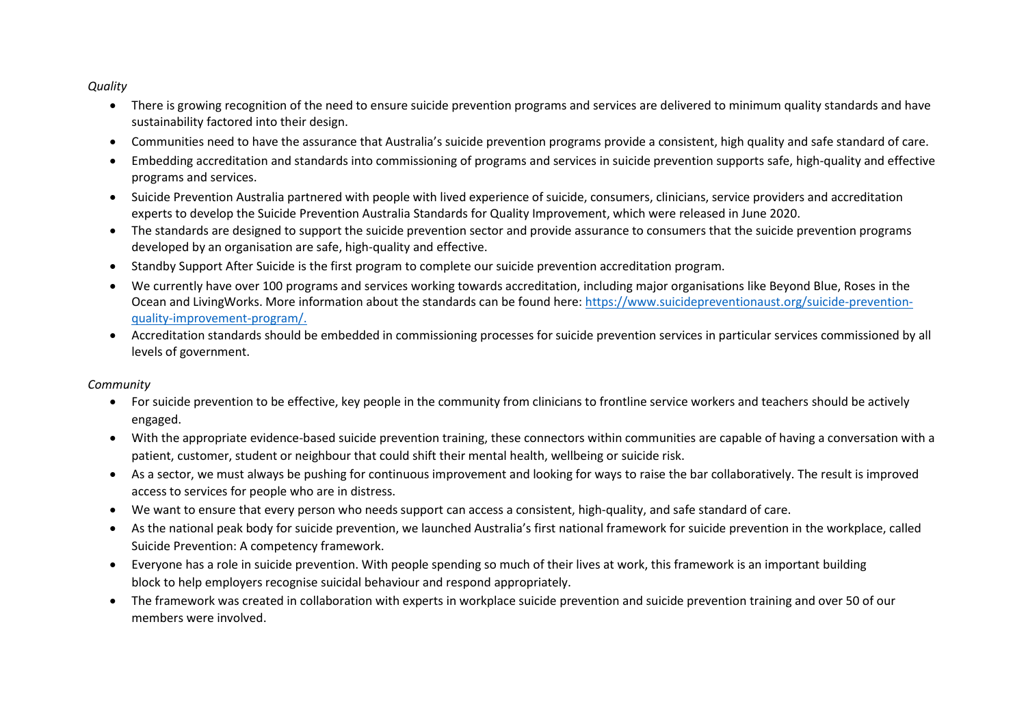#### *Quality*

- There is growing recognition of the need to ensure suicide prevention programs and services are delivered to minimum quality standards and have sustainability factored into their design.
- Communities need to have the assurance that Australia's suicide prevention programs provide a consistent, high quality and safe standard of care.
- Embedding accreditation and standards into commissioning of programs and services in suicide prevention supports safe, high-quality and effective programs and services.
- Suicide Prevention Australia partnered with people with lived experience of suicide, consumers, clinicians, service providers and accreditation experts to develop the Suicide Prevention Australia Standards for Quality Improvement, which were released in June 2020.
- The standards are designed to support the suicide prevention sector and provide assurance to consumers that the suicide prevention programs developed by an organisation are safe, high-quality and effective.
- Standby Support After Suicide is the first program to complete our suicide prevention accreditation program.
- We currently have over 100 programs and services working towards accreditation, including major organisations like Beyond Blue, Roses in the Ocean and LivingWorks. More information about the standards can be found here: [https://www.suicidepreventionaust.org/suicide-prevention](https://www.suicidepreventionaust.org/suicide-prevention-quality-improvement-program/)[quality-improvement-program/.](https://www.suicidepreventionaust.org/suicide-prevention-quality-improvement-program/)
- Accreditation standards should be embedded in commissioning processes for suicide prevention services in particular services commissioned by all levels of government.

### *Community*

- For suicide prevention to be effective, key people in the community from clinicians to frontline service workers and teachers should be actively engaged.
- With the appropriate evidence-based suicide prevention training, these connectors within communities are capable of having a conversation with a patient, customer, student or neighbour that could shift their mental health, wellbeing or suicide risk.
- As a sector, we must always be pushing for continuous improvement and looking for ways to raise the bar collaboratively. The result is improved access to services for people who are in distress.
- We want to ensure that every person who needs support can access a consistent, high-quality, and safe standard of care.
- As the national peak body for suicide prevention, we launched Australia's first national framework for suicide prevention in the workplace, called Suicide Prevention: A competency framework.
- Everyone has a role in suicide prevention. With people spending so much of their lives at work, this framework is an important building block to help employers recognise suicidal behaviour and respond appropriately.
- The framework was created in collaboration with experts in workplace suicide prevention and suicide prevention training and over 50 of our members were involved.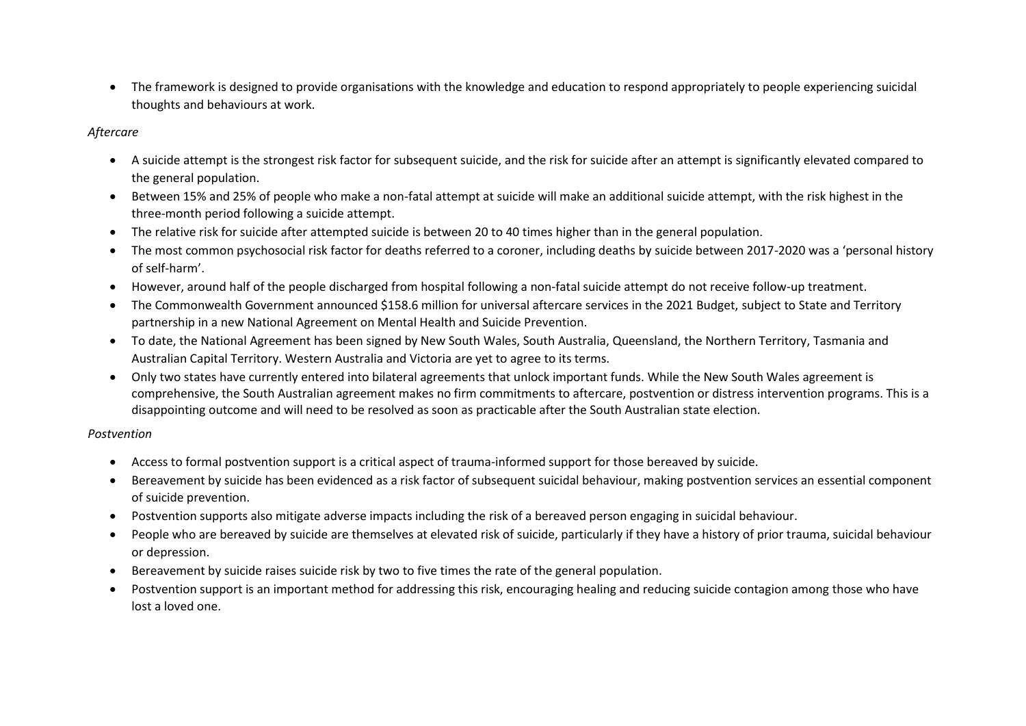• The framework is designed to provide organisations with the knowledge and education to respond appropriately to people experiencing suicidal thoughts and behaviours at work.

## *Aftercare*

- A suicide attempt is the strongest risk factor for subsequent suicide, and the risk for suicide after an attempt is significantly elevated compared to the general population.
- Between 15% and 25% of people who make a non-fatal attempt at suicide will make an additional suicide attempt, with the risk highest in the three-month period following a suicide attempt.
- The relative risk for suicide after attempted suicide is between 20 to 40 times higher than in the general population.
- The most common psychosocial risk factor for deaths referred to a coroner, including deaths by suicide between 2017-2020 was a 'personal history of self-harm'.
- However, around half of the people discharged from hospital following a non-fatal suicide attempt do not receive follow-up treatment.
- The Commonwealth Government announced \$158.6 million for universal aftercare services in the 2021 Budget, subject to State and Territory partnership in a new National Agreement on Mental Health and Suicide Prevention.
- To date, the National Agreement has been signed by New South Wales, South Australia, Queensland, the Northern Territory, Tasmania and Australian Capital Territory. Western Australia and Victoria are yet to agree to its terms.
- Only two states have currently entered into bilateral agreements that unlock important funds. While the New South Wales agreement is comprehensive, the South Australian agreement makes no firm commitments to aftercare, postvention or distress intervention programs. This is a disappointing outcome and will need to be resolved as soon as practicable after the South Australian state election.

### *Postvention*

- Access to formal postvention support is a critical aspect of trauma-informed support for those bereaved by suicide.
- Bereavement by suicide has been evidenced as a risk factor of subsequent suicidal behaviour, making postvention services an essential component of suicide prevention.
- Postvention supports also mitigate adverse impacts including the risk of a bereaved person engaging in suicidal behaviour.
- People who are bereaved by suicide are themselves at elevated risk of suicide, particularly if they have a history of prior trauma, suicidal behaviour or depression.
- Bereavement by suicide raises suicide risk by two to five times the rate of the general population.
- Postvention support is an important method for addressing this risk, encouraging healing and reducing suicide contagion among those who have lost a loved one.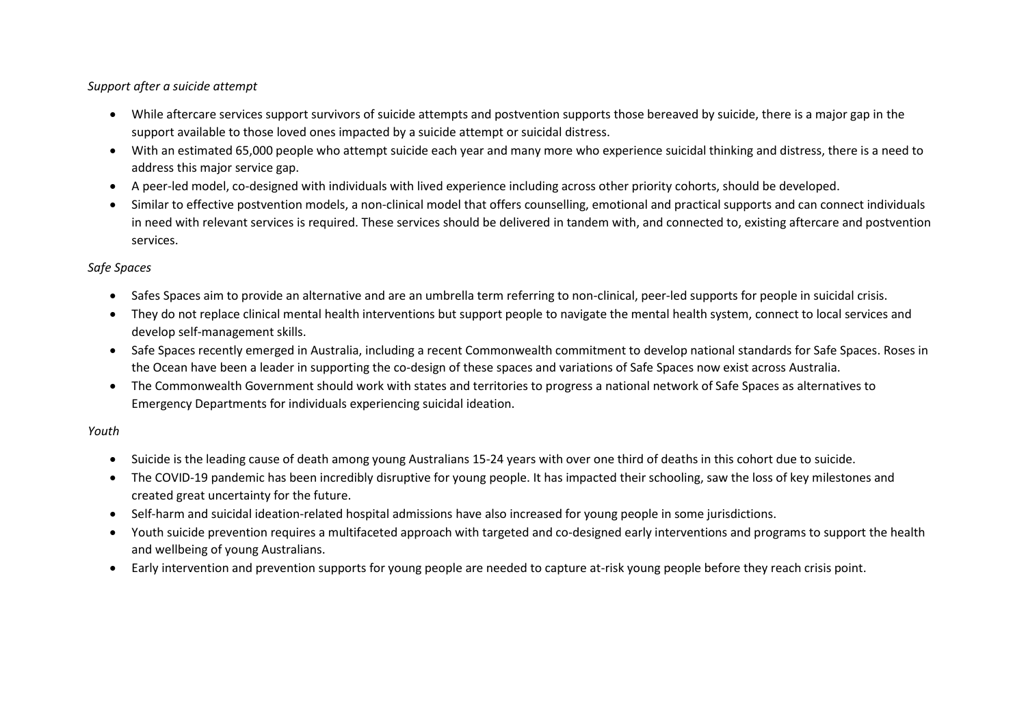*Support after a suicide attempt*

- While aftercare services support survivors of suicide attempts and postvention supports those bereaved by suicide, there is a major gap in the support available to those loved ones impacted by a suicide attempt or suicidal distress.
- With an estimated 65,000 people who attempt suicide each year and many more who experience suicidal thinking and distress, there is a need to address this major service gap.
- A peer-led model, co-designed with individuals with lived experience including across other priority cohorts, should be developed.
- Similar to effective postvention models, a non-clinical model that offers counselling, emotional and practical supports and can connect individuals in need with relevant services is required. These services should be delivered in tandem with, and connected to, existing aftercare and postvention services.

## *Safe Spaces*

- Safes Spaces aim to provide an alternative and are an umbrella term referring to non-clinical, peer-led supports for people in suicidal crisis.
- They do not replace clinical mental health interventions but support people to navigate the mental health system, connect to local services and develop self-management skills.
- Safe Spaces recently emerged in Australia, including a recent Commonwealth commitment to develop national standards for Safe Spaces. Roses in the Ocean have been a leader in supporting the co-design of these spaces and variations of Safe Spaces now exist across Australia.
- The Commonwealth Government should work with states and territories to progress a national network of Safe Spaces as alternatives to Emergency Departments for individuals experiencing suicidal ideation.

### *Youth*

- Suicide is the leading cause of death among young Australians 15-24 years with over one third of deaths in this cohort due to suicide.
- The COVID-19 pandemic has been incredibly disruptive for young people. It has impacted their schooling, saw the loss of key milestones and created great uncertainty for the future.
- Self-harm and suicidal ideation-related hospital admissions have also increased for young people in some jurisdictions.
- Youth suicide prevention requires a multifaceted approach with targeted and co-designed early interventions and programs to support the health and wellbeing of young Australians.
- Early intervention and prevention supports for young people are needed to capture at-risk young people before they reach crisis point.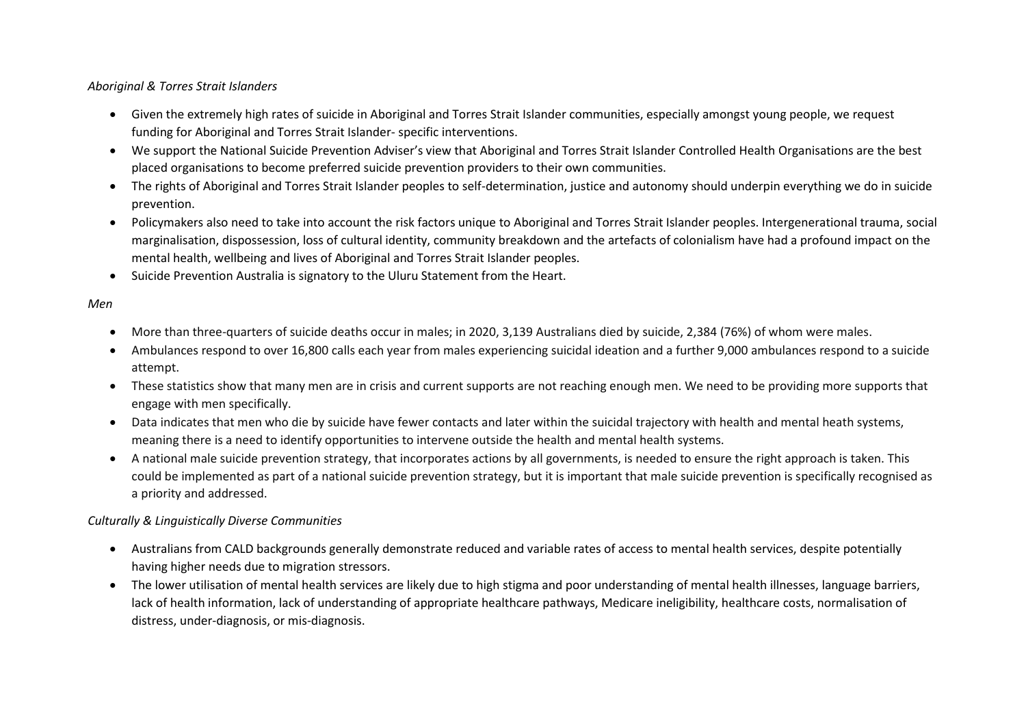## *Aboriginal & Torres Strait Islanders*

- Given the extremely high rates of suicide in Aboriginal and Torres Strait Islander communities, especially amongst young people, we request funding for Aboriginal and Torres Strait Islander- specific interventions.
- We support the National Suicide Prevention Adviser's view that Aboriginal and Torres Strait Islander Controlled Health Organisations are the best placed organisations to become preferred suicide prevention providers to their own communities.
- The rights of Aboriginal and Torres Strait Islander peoples to self-determination, justice and autonomy should underpin everything we do in suicide prevention.
- Policymakers also need to take into account the risk factors unique to Aboriginal and Torres Strait Islander peoples. Intergenerational trauma, social marginalisation, dispossession, loss of cultural identity, community breakdown and the artefacts of colonialism have had a profound impact on the mental health, wellbeing and lives of Aboriginal and Torres Strait Islander peoples.
- Suicide Prevention Australia is signatory to the Uluru Statement from the Heart.

#### *Men*

- More than three-quarters of suicide deaths occur in males; in 2020, 3,139 Australians died by suicide, 2,384 (76%) of whom were males.
- Ambulances respond to over 16,800 calls each year from males experiencing suicidal ideation and a further 9,000 ambulances respond to a suicide attempt.
- These statistics show that many men are in crisis and current supports are not reaching enough men. We need to be providing more supports that engage with men specifically.
- Data indicates that men who die by suicide have fewer contacts and later within the suicidal trajectory with health and mental heath systems, meaning there is a need to identify opportunities to intervene outside the health and mental health systems.
- A national male suicide prevention strategy, that incorporates actions by all governments, is needed to ensure the right approach is taken. This could be implemented as part of a national suicide prevention strategy, but it is important that male suicide prevention is specifically recognised as a priority and addressed.

### *Culturally & Linguistically Diverse Communities*

- Australians from CALD backgrounds generally demonstrate reduced and variable rates of access to mental health services, despite potentially having higher needs due to migration stressors.
- The lower utilisation of mental health services are likely due to high stigma and poor understanding of mental health illnesses, language barriers, lack of health information, lack of understanding of appropriate healthcare pathways, Medicare ineligibility, healthcare costs, normalisation of distress, under-diagnosis, or mis-diagnosis.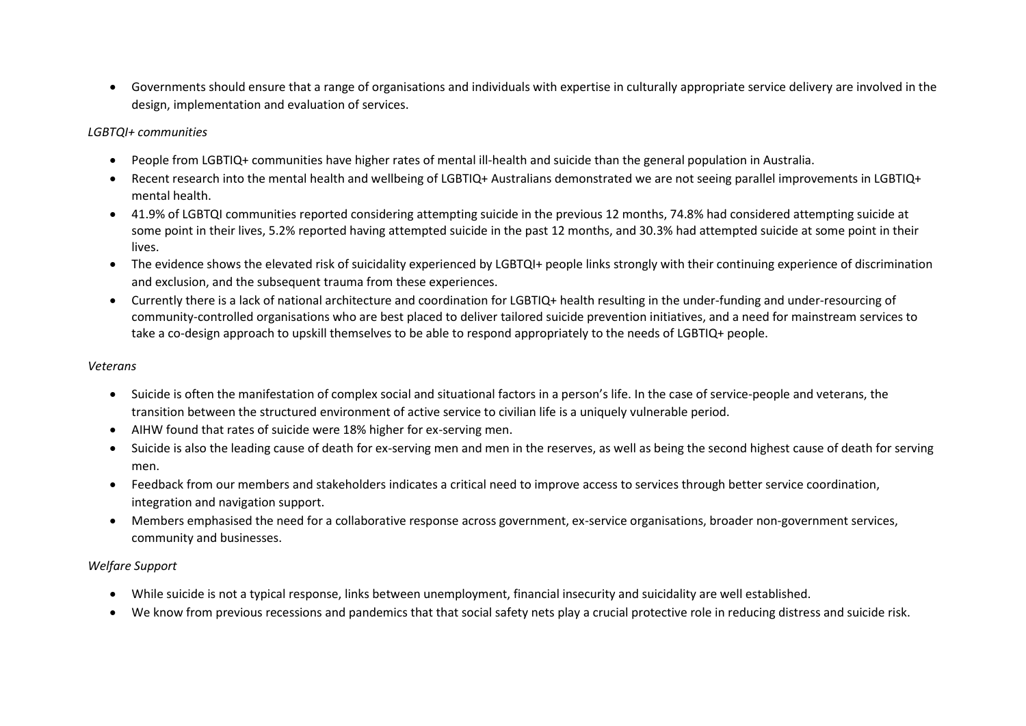• Governments should ensure that a range of organisations and individuals with expertise in culturally appropriate service delivery are involved in the design, implementation and evaluation of services.

#### *LGBTQI+ communities*

- People from LGBTIQ+ communities have higher rates of mental ill-health and suicide than the general population in Australia.
- Recent research into the mental health and wellbeing of LGBTIQ+ Australians demonstrated we are not seeing parallel improvements in LGBTIQ+ mental health.
- 41.9% of LGBTQI communities reported considering attempting suicide in the previous 12 months, 74.8% had considered attempting suicide at some point in their lives, 5.2% reported having attempted suicide in the past 12 months, and 30.3% had attempted suicide at some point in their lives.
- The evidence shows the elevated risk of suicidality experienced by LGBTQI+ people links strongly with their continuing experience of discrimination and exclusion, and the subsequent trauma from these experiences.
- Currently there is a lack of national architecture and coordination for LGBTIQ+ health resulting in the under-funding and under-resourcing of community-controlled organisations who are best placed to deliver tailored suicide prevention initiatives, and a need for mainstream services to take a co-design approach to upskill themselves to be able to respond appropriately to the needs of LGBTIQ+ people.

#### *Veterans*

- Suicide is often the manifestation of complex social and situational factors in a person's life. In the case of service-people and veterans, the transition between the structured environment of active service to civilian life is a uniquely vulnerable period.
- AIHW found that rates of suicide were 18% higher for ex-serving men.
- Suicide is also the leading cause of death for ex-serving men and men in the reserves, as well as being the second highest cause of death for serving men.
- Feedback from our members and stakeholders indicates a critical need to improve access to services through better service coordination, integration and navigation support.
- Members emphasised the need for a collaborative response across government, ex-service organisations, broader non-government services, community and businesses.

### *Welfare Support*

- While suicide is not a typical response, links between unemployment, financial insecurity and suicidality are well established.
- We know from previous recessions and pandemics that that social safety nets play a crucial protective role in reducing distress and suicide risk.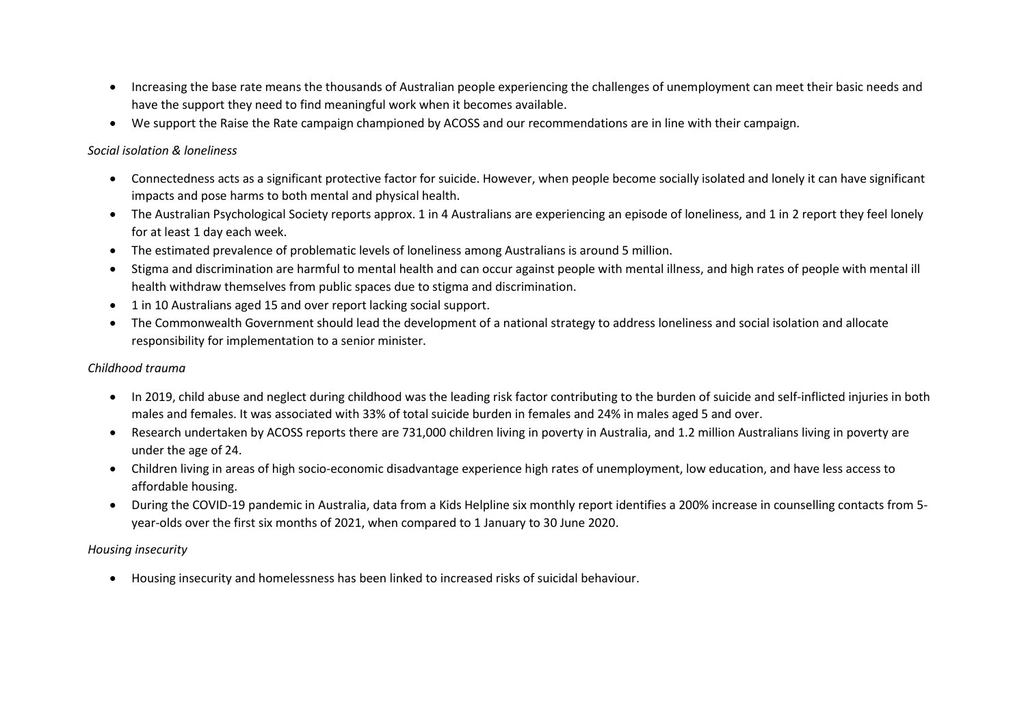- Increasing the base rate means the thousands of Australian people experiencing the challenges of unemployment can meet their basic needs and have the support they need to find meaningful work when it becomes available.
- We support the Raise the Rate campaign championed by ACOSS and our recommendations are in line with their campaign.

## *Social isolation & loneliness*

- Connectedness acts as a significant protective factor for suicide. However, when people become socially isolated and lonely it can have significant impacts and pose harms to both mental and physical health.
- The Australian Psychological Society reports approx. 1 in 4 Australians are experiencing an episode of loneliness, and 1 in 2 report they feel lonely for at least 1 day each week.
- The estimated prevalence of problematic levels of loneliness among Australians is around 5 million.
- Stigma and discrimination are harmful to mental health and can occur against people with mental illness, and high rates of people with mental ill health withdraw themselves from public spaces due to stigma and discrimination.
- 1 in 10 Australians aged 15 and over report lacking social support.
- The Commonwealth Government should lead the development of a national strategy to address loneliness and social isolation and allocate responsibility for implementation to a senior minister.

## *Childhood trauma*

- In 2019, child abuse and neglect during childhood was the leading risk factor contributing to the burden of suicide and self-inflicted injuries in both males and females. It was associated with 33% of total suicide burden in females and 24% in males aged 5 and over.
- Research undertaken by ACOSS reports there are 731,000 children living in poverty in Australia, and 1.2 million Australians living in poverty are under the age of 24.
- Children living in areas of high socio-economic disadvantage experience high rates of unemployment, low education, and have less access to affordable housing.
- During the COVID-19 pandemic in Australia, data from a Kids Helpline six monthly report identifies a 200% increase in counselling contacts from 5 year-olds over the first six months of 2021, when compared to 1 January to 30 June 2020.

### *Housing insecurity*

• Housing insecurity and homelessness has been linked to increased risks of suicidal behaviour.